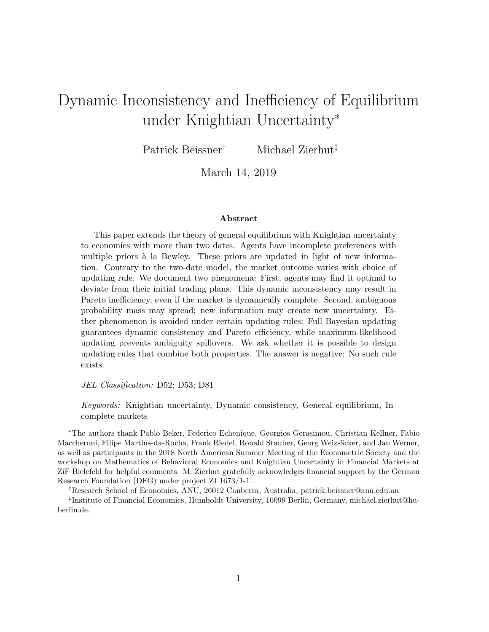# Dynamic Inconsistency and Inefficiency of Equilibrium under Knightian Uncertainty<sup>∗</sup>

Patrick Beissner† Michael Zierhut‡

March 14, 2019

#### Abstract

This paper extends the theory of general equilibrium with Knightian uncertainty to economies with more than two dates. Agents have incomplete preferences with multiple priors à la Bewley. These priors are updated in light of new information. Contrary to the two-date model, the market outcome varies with choice of updating rule. We document two phenomena: First, agents may find it optimal to deviate from their initial trading plans. This dynamic inconsistency may result in Pareto inefficiency, even if the market is dynamically complete. Second, ambiguous probability mass may spread; new information may create new uncertainty. Either phenomenon is avoided under certain updating rules: Full Bayesian updating guarantees dynamic consistency and Pareto efficiency, while maximum-likelihood updating prevents ambiguity spillovers. We ask whether it is possible to design updating rules that combine both properties. The answer is negative: No such rule exists.

JEL Classification: D52; D53; D81

Keywords: Knightian uncertainty, Dynamic consistency, General equilibrium, Incomplete markets

<sup>∗</sup>The authors thank Pablo Beker, Federico Echenique, Georgios Gerasimou, Christian Kellner, Fabio Maccheroni, Filipe Martins-da-Rocha, Frank Riedel, Ronald Stauber, Georg Weizsäcker, and Jan Werner, as well as participants in the 2018 North American Summer Meeting of the Econometric Society and the workshop on Mathematics of Behavioral Economics and Knightian Uncertainty in Financial Markets at ZiF Bielefeld for helpful comments. M. Zierhut gratefully acknowledges financial support by the German Research Foundation (DFG) under project ZI 1673/1-1.

<sup>†</sup>Research School of Economics, ANU, 26012 Canberra, Australia, patrick.beissner@anu.edu.au ‡ Institute of Financial Economics, Humboldt University, 10099 Berlin, Germany, michael.zierhut@huberlin.de.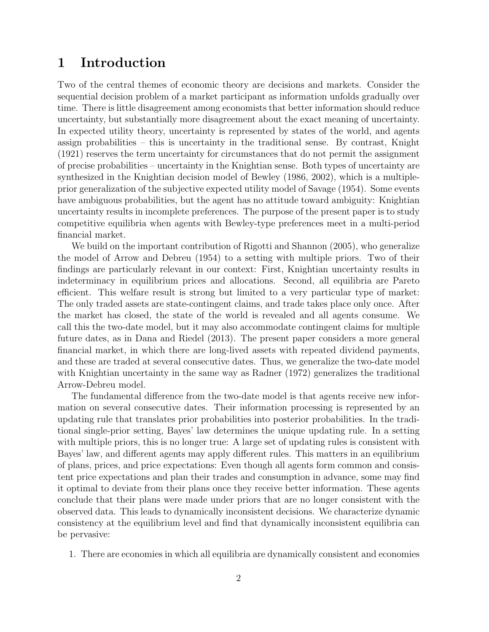# 1 Introduction

Two of the central themes of economic theory are decisions and markets. Consider the sequential decision problem of a market participant as information unfolds gradually over time. There is little disagreement among economists that better information should reduce uncertainty, but substantially more disagreement about the exact meaning of uncertainty. In expected utility theory, uncertainty is represented by states of the world, and agents assign probabilities – this is uncertainty in the traditional sense. By contrast, [Knight](#page-35-0) [\(1921\)](#page-35-0) reserves the term uncertainty for circumstances that do not permit the assignment of precise probabilities – uncertainty in the Knightian sense. Both types of uncertainty are synthesized in the Knightian decision model of [Bewley](#page-34-0) [\(1986,](#page-34-0) [2002\)](#page-34-1), which is a multipleprior generalization of the subjective expected utility model of [Savage](#page-35-1) [\(1954\)](#page-35-1). Some events have ambiguous probabilities, but the agent has no attitude toward ambiguity: Knightian uncertainty results in incomplete preferences. The purpose of the present paper is to study competitive equilibria when agents with Bewley-type preferences meet in a multi-period financial market.

We build on the important contribution of [Rigotti and Shannon](#page-35-2) [\(2005\)](#page-35-2), who generalize the model of [Arrow and Debreu](#page-34-2) [\(1954\)](#page-34-2) to a setting with multiple priors. Two of their findings are particularly relevant in our context: First, Knightian uncertainty results in indeterminacy in equilibrium prices and allocations. Second, all equilibria are Pareto efficient. This welfare result is strong but limited to a very particular type of market: The only traded assets are state-contingent claims, and trade takes place only once. After the market has closed, the state of the world is revealed and all agents consume. We call this the two-date model, but it may also accommodate contingent claims for multiple future dates, as in [Dana and Riedel](#page-34-3) [\(2013\)](#page-34-3). The present paper considers a more general financial market, in which there are long-lived assets with repeated dividend payments, and these are traded at several consecutive dates. Thus, we generalize the two-date model with Knightian uncertainty in the same way as [Radner](#page-35-3) [\(1972\)](#page-35-3) generalizes the traditional Arrow-Debreu model.

The fundamental difference from the two-date model is that agents receive new information on several consecutive dates. Their information processing is represented by an updating rule that translates prior probabilities into posterior probabilities. In the traditional single-prior setting, Bayes' law determines the unique updating rule. In a setting with multiple priors, this is no longer true: A large set of updating rules is consistent with Bayes' law, and different agents may apply different rules. This matters in an equilibrium of plans, prices, and price expectations: Even though all agents form common and consistent price expectations and plan their trades and consumption in advance, some may find it optimal to deviate from their plans once they receive better information. These agents conclude that their plans were made under priors that are no longer consistent with the observed data. This leads to dynamically inconsistent decisions. We characterize dynamic consistency at the equilibrium level and find that dynamically inconsistent equilibria can be pervasive:

1. There are economies in which all equilibria are dynamically consistent and economies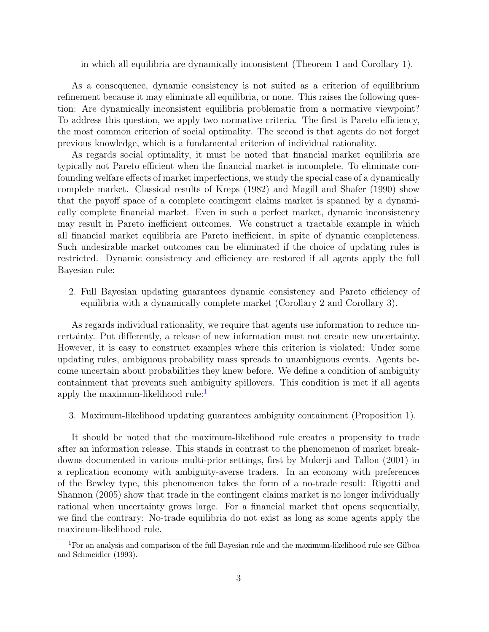in which all equilibria are dynamically inconsistent (Theorem 1 and Corollary 1).

As a consequence, dynamic consistency is not suited as a criterion of equilibrium refinement because it may eliminate all equilibria, or none. This raises the following question: Are dynamically inconsistent equilibria problematic from a normative viewpoint? To address this question, we apply two normative criteria. The first is Pareto efficiency, the most common criterion of social optimality. The second is that agents do not forget previous knowledge, which is a fundamental criterion of individual rationality.

As regards social optimality, it must be noted that financial market equilibria are typically not Pareto efficient when the financial market is incomplete. To eliminate confounding welfare effects of market imperfections, we study the special case of a dynamically complete market. Classical results of [Kreps](#page-35-4) [\(1982\)](#page-35-4) and [Magill and Shafer](#page-35-5) [\(1990\)](#page-35-5) show that the payoff space of a complete contingent claims market is spanned by a dynamically complete financial market. Even in such a perfect market, dynamic inconsistency may result in Pareto inefficient outcomes. We construct a tractable example in which all financial market equilibria are Pareto inefficient, in spite of dynamic completeness. Such undesirable market outcomes can be eliminated if the choice of updating rules is restricted. Dynamic consistency and efficiency are restored if all agents apply the full Bayesian rule:

2. Full Bayesian updating guarantees dynamic consistency and Pareto efficiency of equilibria with a dynamically complete market (Corollary 2 and Corollary 3).

As regards individual rationality, we require that agents use information to reduce uncertainty. Put differently, a release of new information must not create new uncertainty. However, it is easy to construct examples where this criterion is violated: Under some updating rules, ambiguous probability mass spreads to unambiguous events. Agents become uncertain about probabilities they knew before. We define a condition of ambiguity containment that prevents such ambiguity spillovers. This condition is met if all agents apply the maximum-likelihood rule: $<sup>1</sup>$  $<sup>1</sup>$  $<sup>1</sup>$ </sup>

3. Maximum-likelihood updating guarantees ambiguity containment (Proposition 1).

It should be noted that the maximum-likelihood rule creates a propensity to trade after an information release. This stands in contrast to the phenomenon of market breakdowns documented in various multi-prior settings, first by [Mukerji and Tallon](#page-35-6) [\(2001\)](#page-35-6) in a replication economy with ambiguity-averse traders. In an economy with preferences of the Bewley type, this phenomenon takes the form of a no-trade result: [Rigotti and](#page-35-2) [Shannon](#page-35-2) [\(2005\)](#page-35-2) show that trade in the contingent claims market is no longer individually rational when uncertainty grows large. For a financial market that opens sequentially, we find the contrary: No-trade equilibria do not exist as long as some agents apply the maximum-likelihood rule.

<span id="page-2-0"></span><sup>1</sup>For an analysis and comparison of the full Bayesian rule and the maximum-likelihood rule see [Gilboa](#page-34-4) [and Schmeidler](#page-34-4) [\(1993\)](#page-34-4).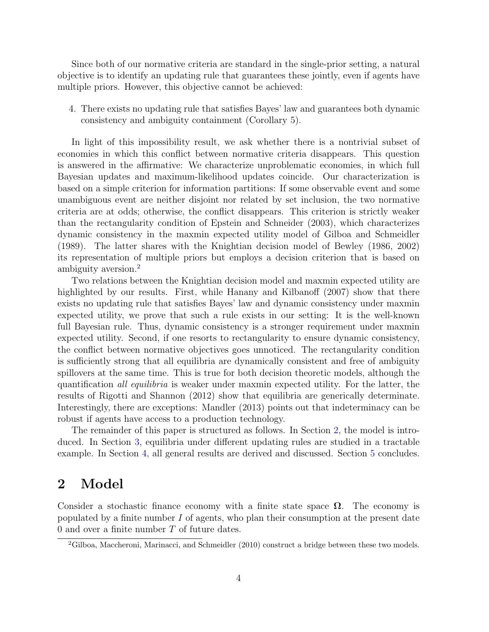Since both of our normative criteria are standard in the single-prior setting, a natural objective is to identify an updating rule that guarantees these jointly, even if agents have multiple priors. However, this objective cannot be achieved:

4. There exists no updating rule that satisfies Bayes' law and guarantees both dynamic consistency and ambiguity containment (Corollary 5).

In light of this impossibility result, we ask whether there is a nontrivial subset of economies in which this conflict between normative criteria disappears. This question is answered in the affirmative: We characterize unproblematic economies, in which full Bayesian updates and maximum-likelihood updates coincide. Our characterization is based on a simple criterion for information partitions: If some observable event and some unambiguous event are neither disjoint nor related by set inclusion, the two normative criteria are at odds; otherwise, the conflict disappears. This criterion is strictly weaker than the rectangularity condition of [Epstein and Schneider](#page-34-5) [\(2003\)](#page-34-5), which characterizes dynamic consistency in the maxmin expected utility model of [Gilboa and Schmeidler](#page-34-6) [\(1989\)](#page-34-6). The latter shares with the Knightian decision model of [Bewley](#page-34-0) [\(1986,](#page-34-0) [2002\)](#page-34-1) its representation of multiple priors but employs a decision criterion that is based on ambiguity aversion.[2](#page-3-0)

Two relations between the Knightian decision model and maxmin expected utility are highlighted by our results. First, while [Hanany and Kilbanoff](#page-35-7) [\(2007\)](#page-35-7) show that there exists no updating rule that satisfies Bayes' law and dynamic consistency under maxmin expected utility, we prove that such a rule exists in our setting: It is the well-known full Bayesian rule. Thus, dynamic consistency is a stronger requirement under maxmin expected utility. Second, if one resorts to rectangularity to ensure dynamic consistency, the conflict between normative objectives goes unnoticed. The rectangularity condition is sufficiently strong that all equilibria are dynamically consistent and free of ambiguity spillovers at the same time. This is true for both decision theoretic models, although the quantification all equilibria is weaker under maxmin expected utility. For the latter, the results of [Rigotti and Shannon](#page-35-8) [\(2012\)](#page-35-8) show that equilibria are generically determinate. Interestingly, there are exceptions: [Mandler](#page-35-9) [\(2013\)](#page-35-9) points out that indeterminacy can be robust if agents have access to a production technology.

The remainder of this paper is structured as follows. In Section [2,](#page-3-1) the model is introduced. In Section [3,](#page-11-0) equilibria under different updating rules are studied in a tractable example. In Section [4,](#page-19-0) all general results are derived and discussed. Section [5](#page-28-0) concludes.

### <span id="page-3-1"></span>2 Model

Consider a stochastic finance economy with a finite state space  $\Omega$ . The economy is populated by a finite number  $I$  of agents, who plan their consumption at the present date 0 and over a finite number T of future dates.

<span id="page-3-0"></span><sup>&</sup>lt;sup>2</sup>[Gilboa, Maccheroni, Marinacci, and Schmeidler](#page-34-7) [\(2010\)](#page-34-7) construct a bridge between these two models.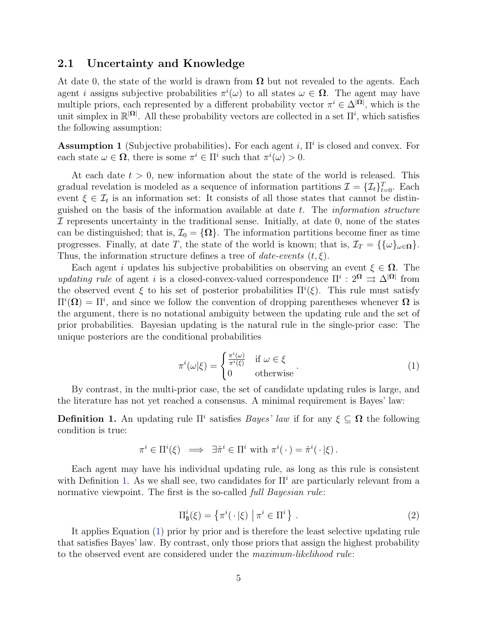#### 2.1 Uncertainty and Knowledge

At date 0, the state of the world is drawn from  $\Omega$  but not revealed to the agents. Each agent *i* assigns subjective probabilities  $\pi^{i}(\omega)$  to all states  $\omega \in \Omega$ . The agent may have multiple priors, each represented by a different probability vector  $\pi^i \in \Delta^{|\Omega|}$ , which is the unit simplex in  $\mathbb{R}^{|\Omega|}$ . All these probability vectors are collected in a set  $\Pi^i$ , which satisfies the following assumption:

<span id="page-4-3"></span>**Assumption 1** (Subjective probabilities). For each agent i,  $\Pi^i$  is closed and convex. For each state  $\omega \in \Omega$ , there is some  $\pi^i \in \Pi^i$  such that  $\pi^i(\omega) > 0$ .

At each date  $t > 0$ , new information about the state of the world is released. This gradual revelation is modeled as a sequence of information partitions  $\mathcal{I} = \{\mathcal{I}_t\}_{t=0}^T$ . Each event  $\xi \in \mathcal{I}_t$  is an information set: It consists of all those states that cannot be distinguished on the basis of the information available at date t. The information structure  $I$  represents uncertainty in the traditional sense. Initially, at date 0, none of the states can be distinguished; that is,  $\mathcal{I}_0 = {\Omega}$ . The information partitions become finer as time progresses. Finally, at date T, the state of the world is known; that is,  $\mathcal{I}_T = {\{\omega\}}_{\omega \in \Omega}$ . Thus, the information structure defines a tree of *date-events*  $(t, \xi)$ .

Each agent i updates his subjective probabilities on observing an event  $\xi \in \Omega$ . The updating rule of agent i is a closed-convex-valued correspondence  $\Pi^i: 2^{\Omega} \Rightarrow \Delta^{|\Omega|}$  from the observed event  $\xi$  to his set of posterior probabilities  $\Pi^{i}(\xi)$ . This rule must satisfy  $\Pi^i(\Omega) = \Pi^i$ , and since we follow the convention of dropping parentheses whenever  $\Omega$  is the argument, there is no notational ambiguity between the updating rule and the set of prior probabilities. Bayesian updating is the natural rule in the single-prior case: The unique posteriors are the conditional probabilities

<span id="page-4-1"></span>
$$
\pi^{i}(\omega|\xi) = \begin{cases} \frac{\pi^{i}(\omega)}{\pi^{i}(\xi)} & \text{if } \omega \in \xi \\ 0 & \text{otherwise} \end{cases} . \tag{1}
$$

By contrast, in the multi-prior case, the set of candidate updating rules is large, and the literature has not yet reached a consensus. A minimal requirement is Bayes' law:

<span id="page-4-0"></span>**Definition 1.** An updating rule  $\Pi^i$  satisfies *Bayes' law* if for any  $\xi \subseteq \Omega$  the following condition is true:

$$
\pi^i \in \Pi^i(\xi) \implies \exists \hat{\pi}^i \in \Pi^i \text{ with } \pi^i(\cdot) = \hat{\pi}^i(\cdot|\xi).
$$

Each agent may have his individual updating rule, as long as this rule is consistent with Definition [1.](#page-4-0) As we shall see, two candidates for  $\Pi^i$  are particularly relevant from a normative viewpoint. The first is the so-called *full Bayesian rule*:

<span id="page-4-2"></span>
$$
\Pi_{\mathbf{B}}^{i}(\xi) = \left\{ \pi^{i}(\cdot|\xi) \mid \pi^{i} \in \Pi^{i} \right\}.
$$
\n<sup>(2)</sup>

It applies Equation [\(1\)](#page-4-1) prior by prior and is therefore the least selective updating rule that satisfies Bayes' law. By contrast, only those priors that assign the highest probability to the observed event are considered under the maximum-likelihood rule: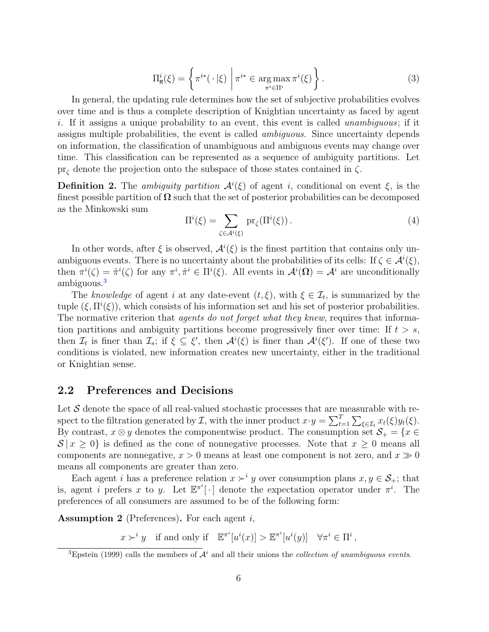<span id="page-5-2"></span>
$$
\Pi_{\mathbf{M}}^{i}(\xi) = \left\{ \pi^{i*}(\cdot|\xi) \mid \pi^{i*} \in \operatorname*{arg\,max}_{\pi^{i} \in \Pi^{i}} \pi^{i}(\xi) \right\}.
$$
\n(3)

In general, the updating rule determines how the set of subjective probabilities evolves over time and is thus a complete description of Knightian uncertainty as faced by agent i. If it assigns a unique probability to an event, this event is called *unambiguous*; if it assigns multiple probabilities, the event is called *ambiguous*. Since uncertainty depends on information, the classification of unambiguous and ambiguous events may change over time. This classification can be represented as a sequence of ambiguity partitions. Let  $pr_{\zeta}$  denote the projection onto the subspace of those states contained in  $\zeta$ .

**Definition 2.** The ambiguity partition  $A^{i}(\xi)$  of agent i, conditional on event  $\xi$ , is the finest possible partition of  $\Omega$  such that the set of posterior probabilities can be decomposed as the Minkowski sum

<span id="page-5-3"></span>
$$
\Pi^{i}(\xi) = \sum_{\zeta \in \mathcal{A}^{i}(\xi)} \mathrm{pr}_{\zeta}(\Pi^{i}(\xi)).
$$
\n(4)

In other words, after  $\xi$  is observed,  $\mathcal{A}^i(\xi)$  is the finest partition that contains only unambiguous events. There is no uncertainty about the probabilities of its cells: If  $\zeta \in \mathcal{A}^i(\xi)$ , then  $\pi^i(\zeta) = \hat{\pi}^i(\zeta)$  for any  $\pi^i, \hat{\pi}^i \in \Pi^i(\zeta)$ . All events in  $\mathcal{A}^i(\Omega) = \mathcal{A}^i$  are unconditionally ambiguous.[3](#page-5-0)

The knowledge of agent i at any date-event  $(t, \xi)$ , with  $\xi \in \mathcal{I}_t$ , is summarized by the tuple  $(\xi, \Pi^i(\xi))$ , which consists of his information set and his set of posterior probabilities. The normative criterion that *agents do not forget what they knew*, requires that information partitions and ambiguity partitions become progressively finer over time: If  $t > s$ , then  $\mathcal{I}_t$  is finer than  $\mathcal{I}_s$ ; if  $\xi \subseteq \xi'$ , then  $\mathcal{A}^i(\xi)$  is finer than  $\mathcal{A}^i(\xi')$ . If one of these two conditions is violated, new information creates new uncertainty, either in the traditional or Knightian sense.

#### 2.2 Preferences and Decisions

Let  $\mathcal S$  denote the space of all real-valued stochastic processes that are measurable with respect to the filtration generated by  $\mathcal{I}$ , with the inner product  $x \cdot y = \sum_{t=1}^{T} \sum_{\xi \in \mathcal{I}_t} x_t(\xi) y_t(\xi)$ . By contrast,  $x \otimes y$  denotes the componentwise product. The consumption set  $\mathcal{S}_+ = \{x \in$  $S | x \geq 0$  is defined as the cone of nonnegative processes. Note that  $x \geq 0$  means all components are nonnegative,  $x > 0$  means at least one component is not zero, and  $x \gg 0$ means all components are greater than zero.

Each agent i has a preference relation  $x \succ^i y$  over consumption plans  $x, y \in S_+$ ; that is, agent i prefers x to y. Let  $\mathbb{E}^{\pi^i}[\cdot]$  denote the expectation operator under  $\pi^i$ . The preferences of all consumers are assumed to be of the following form:

<span id="page-5-1"></span>**Assumption 2** (Preferences). For each agent  $i$ ,

 $x \succ^i y$  if and only if  $\mathbb{E}^{\pi^i}[u^i(x)] > \mathbb{E}^{\pi^i}[u^i(y)] \quad \forall \pi^i \in \Pi^i$ ,

<span id="page-5-0"></span><sup>&</sup>lt;sup>3</sup>[Epstein](#page-34-8) [\(1999\)](#page-34-8) calls the members of  $\mathcal{A}^i$  and all their unions the *collection of unambiguous events*.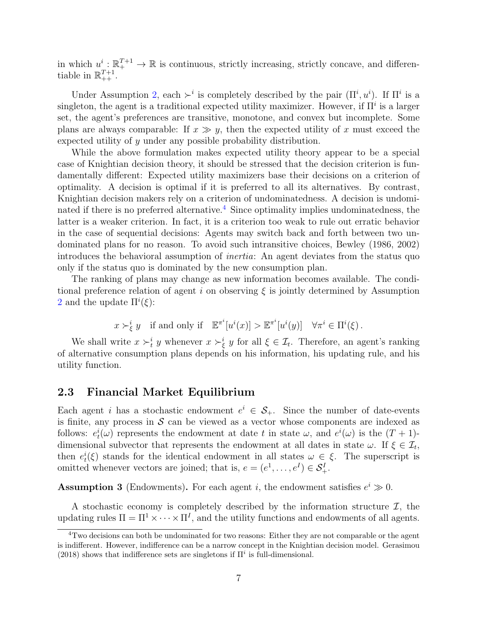in which  $u^i: \mathbb{R}^{T+1}_+ \to \mathbb{R}$  is continuous, strictly increasing, strictly concave, and differentiable in  $\mathbb{R}_{++}^{T+1}$ .

Under Assumption [2,](#page-5-1) each  $\succ^i$  is completely described by the pair  $(\Pi^i, u^i)$ . If  $\Pi^i$  is a singleton, the agent is a traditional expected utility maximizer. However, if  $\Pi^i$  is a larger set, the agent's preferences are transitive, monotone, and convex but incomplete. Some plans are always comparable: If  $x \gg y$ , then the expected utility of x must exceed the expected utility of y under any possible probability distribution.

While the above formulation makes expected utility theory appear to be a special case of Knightian decision theory, it should be stressed that the decision criterion is fundamentally different: Expected utility maximizers base their decisions on a criterion of optimality. A decision is optimal if it is preferred to all its alternatives. By contrast, Knightian decision makers rely on a criterion of undominatedness. A decision is undomi-nated if there is no preferred alternative.<sup>[4](#page-6-0)</sup> Since optimality implies undominatedness, the latter is a weaker criterion. In fact, it is a criterion too weak to rule out erratic behavior in the case of sequential decisions: Agents may switch back and forth between two undominated plans for no reason. To avoid such intransitive choices, [Bewley](#page-34-0) [\(1986,](#page-34-0) [2002\)](#page-34-1) introduces the behavioral assumption of inertia: An agent deviates from the status quo only if the status quo is dominated by the new consumption plan.

The ranking of plans may change as new information becomes available. The conditional preference relation of agent i on observing  $\xi$  is jointly determined by Assumption [2](#page-5-1) and the update  $\Pi^{i}(\xi)$ :

 $x \succ_{\xi}^{i} y$  if and only if  $\mathbb{E}^{\pi^{i}}[u^{i}(x)] > \mathbb{E}^{\pi^{i}}[u^{i}(y)] \quad \forall \pi^{i} \in \Pi^{i}(\xi)$ .

We shall write  $x \succ_t^i y$  whenever  $x \succ_{\xi}^i y$  for all  $\xi \in \mathcal{I}_t$ . Therefore, an agent's ranking of alternative consumption plans depends on his information, his updating rule, and his utility function.

#### 2.3 Financial Market Equilibrium

Each agent i has a stochastic endowment  $e^i \in S_+$ . Since the number of date-events is finite, any process in  $\mathcal S$  can be viewed as a vector whose components are indexed as follows:  $e_t^i(\omega)$  represents the endowment at date t in state  $\omega$ , and  $e^i(\omega)$  is the  $(T+1)$ dimensional subvector that represents the endowment at all dates in state  $\omega$ . If  $\xi \in \mathcal{I}_t$ , then  $e_t^i(\xi)$  stands for the identical endowment in all states  $\omega \in \xi$ . The superscript is omitted whenever vectors are joined; that is,  $e = (e^1, \dots, e^I) \in S^I_+$ .

<span id="page-6-1"></span>**Assumption 3** (Endowments). For each agent *i*, the endowment satisfies  $e^{i} \gg 0$ .

A stochastic economy is completely described by the information structure  $\mathcal{I}$ , the updating rules  $\Pi = \Pi^1 \times \cdots \times \Pi^I$ , and the utility functions and endowments of all agents.

<span id="page-6-0"></span> $4$ Two decisions can both be undominated for two reasons: Either they are not comparable or the agent is indifferent. However, indifference can be a narrow concept in the Knightian decision model. [Gerasimou](#page-34-9) [\(2018\)](#page-34-9) shows that indifference sets are singletons if  $\Pi^i$  is full-dimensional.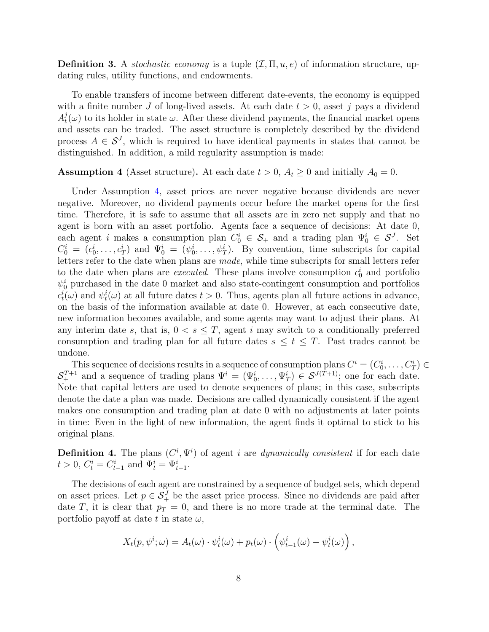**Definition 3.** A stochastic economy is a tuple  $(\mathcal{I}, \Pi, u, e)$  of information structure, updating rules, utility functions, and endowments.

To enable transfers of income between different date-events, the economy is equipped with a finite number J of long-lived assets. At each date  $t > 0$ , asset j pays a dividend  $A_t^j$  $t<sub>t</sub>(\omega)$  to its holder in state  $\omega$ . After these dividend payments, the financial market opens and assets can be traded. The asset structure is completely described by the dividend process  $A \in \mathcal{S}^J$ , which is required to have identical payments in states that cannot be distinguished. In addition, a mild regularity assumption is made:

#### <span id="page-7-0"></span>**Assumption 4** (Asset structure). At each date  $t > 0$ ,  $A_t \ge 0$  and initially  $A_0 = 0$ .

Under Assumption [4,](#page-7-0) asset prices are never negative because dividends are never negative. Moreover, no dividend payments occur before the market opens for the first time. Therefore, it is safe to assume that all assets are in zero net supply and that no agent is born with an asset portfolio. Agents face a sequence of decisions: At date 0, each agent *i* makes a consumption plan  $C_0^i \in S_+$  and a trading plan  $\Psi_0^i \in S^J$ . Set  $C_0^i = (c_0^i, \ldots, c_T^i)$  and  $\Psi_0^i = (\psi_0^i, \ldots, \psi_T^i)$ . By convention, time subscripts for capital letters refer to the date when plans are made, while time subscripts for small letters refer to the date when plans are *executed*. These plans involve consumption  $c_0^i$  and portfolio  $\psi_0^i$  purchased in the date 0 market and also state-contingent consumption and portfolios  $c_t^i(\omega)$  and  $\psi_t^i(\omega)$  at all future dates  $t > 0$ . Thus, agents plan all future actions in advance, on the basis of the information available at date 0. However, at each consecutive date, new information becomes available, and some agents may want to adjust their plans. At any interim date s, that is,  $0 < s < T$ , agent i may switch to a conditionally preferred consumption and trading plan for all future dates  $s \leq t \leq T$ . Past trades cannot be undone.

This sequence of decisions results in a sequence of consumption plans  $C^i = (C_0^i, \ldots, C_T^i) \in$  $S_+^{T+1}$  and a sequence of trading plans  $\Psi^i = (\Psi_0^i, \dots, \Psi_T^i) \in \mathcal{S}^{J(T+1)}$ ; one for each date. Note that capital letters are used to denote sequences of plans; in this case, subscripts denote the date a plan was made. Decisions are called dynamically consistent if the agent makes one consumption and trading plan at date 0 with no adjustments at later points in time: Even in the light of new information, the agent finds it optimal to stick to his original plans.

**Definition 4.** The plans  $(C^i, \Psi^i)$  of agent i are *dynamically consistent* if for each date  $t > 0, C_t^i = C_{t-1}^i$  and  $\Psi_t^i = \Psi_{t-1}^i$ .

The decisions of each agent are constrained by a sequence of budget sets, which depend on asset prices. Let  $p \in S_+^J$  be the asset price process. Since no dividends are paid after date T, it is clear that  $p_T = 0$ , and there is no more trade at the terminal date. The portfolio payoff at date t in state  $\omega$ ,

$$
X_t(p, \psi^i; \omega) = A_t(\omega) \cdot \psi_t^i(\omega) + p_t(\omega) \cdot \left(\psi_{t-1}^i(\omega) - \psi_t^i(\omega)\right),
$$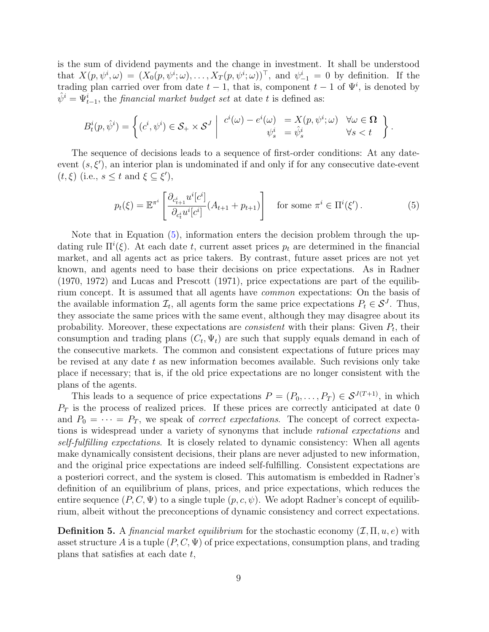is the sum of dividend payments and the change in investment. It shall be understood that  $X(p, \psi^i, \omega) = (X_0(p, \psi^i; \omega), \dots, X_T(p, \psi^i; \omega))^{\top}$ , and  $\psi^i_{-1} = 0$  by definition. If the trading plan carried over from date  $t-1$ , that is, component  $t-1$  of  $\Psi^i$ , is denoted by  $\hat{\psi}^i = \Psi_{t-1}^i$ , the *financial market budget set* at date t is defined as:

$$
B_t^i(p, \hat{\psi}^i) = \left\{ (c^i, \psi^i) \in \mathcal{S}_+ \times \mathcal{S}^J \middle| \begin{array}{c} c^i(\omega) - e^i(\omega) &= X(p, \psi^i; \omega) \quad \forall \omega \in \Omega \\ \psi_s^i &= \hat{\psi}_s^i \end{array} \right\}.
$$

The sequence of decisions leads to a sequence of first-order conditions: At any dateevent  $(s, \xi')$ , an interior plan is undominated if and only if for any consecutive date-event  $(t, \xi)$  (i.e.,  $s \leq t$  and  $\xi \subseteq \xi'$ ),

<span id="page-8-0"></span>
$$
p_t(\xi) = \mathbb{E}^{\pi^i} \left[ \frac{\partial_{c_{t+1}^i} u^i[c^i]}{\partial_{c_t^i} u^i[c^i]} (A_{t+1} + p_{t+1}) \right] \text{ for some } \pi^i \in \Pi^i(\xi'). \tag{5}
$$

Note that in Equation [\(5\)](#page-8-0), information enters the decision problem through the updating rule  $\Pi^{i}(\xi)$ . At each date t, current asset prices  $p_{t}$  are determined in the financial market, and all agents act as price takers. By contrast, future asset prices are not yet known, and agents need to base their decisions on price expectations. As in [Radner](#page-35-10) [\(1970,](#page-35-10) [1972\)](#page-35-3) and [Lucas and Prescott](#page-35-11) [\(1971\)](#page-35-11), price expectations are part of the equilibrium concept. It is assumed that all agents have common expectations: On the basis of the available information  $\mathcal{I}_t$ , all agents form the same price expectations  $P_t \in \mathcal{S}^J$ . Thus, they associate the same prices with the same event, although they may disagree about its probability. Moreover, these expectations are *consistent* with their plans: Given  $P_t$ , their consumption and trading plans  $(C_t, \Psi_t)$  are such that supply equals demand in each of the consecutive markets. The common and consistent expectations of future prices may be revised at any date t as new information becomes available. Such revisions only take place if necessary; that is, if the old price expectations are no longer consistent with the plans of the agents.

This leads to a sequence of price expectations  $P = (P_0, \ldots, P_T) \in \mathcal{S}^{J(T+1)}$ , in which  $P_T$  is the process of realized prices. If these prices are correctly anticipated at date 0 and  $P_0 = \cdots = P_T$ , we speak of *correct expectations*. The concept of correct expectations is widespread under a variety of synonyms that include rational expectations and self-fulfilling expectations. It is closely related to dynamic consistency: When all agents make dynamically consistent decisions, their plans are never adjusted to new information, and the original price expectations are indeed self-fulfilling. Consistent expectations are a posteriori correct, and the system is closed. This automatism is embedded in Radner's definition of an equilibrium of plans, prices, and price expectations, which reduces the entire sequence  $(P, C, \Psi)$  to a single tuple  $(p, c, \psi)$ . We adopt Radner's concept of equilibrium, albeit without the preconceptions of dynamic consistency and correct expectations.

<span id="page-8-1"></span>**Definition 5.** A financial market equilibrium for the stochastic economy  $(\mathcal{I}, \Pi, u, e)$  with asset structure A is a tuple  $(P, C, \Psi)$  of price expectations, consumption plans, and trading plans that satisfies at each date  $t$ ,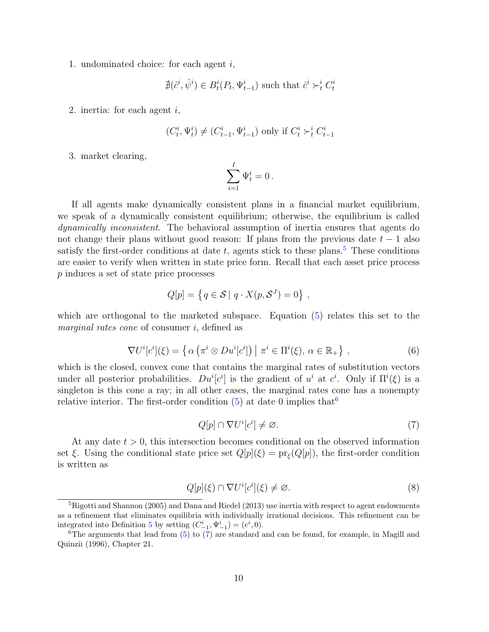1. undominated choice: for each agent i,

$$
\nexists (\hat{c}^i, \hat{\psi}^i) \in B_t^i(P_t, \Psi_{t-1}^i)
$$
 such that  $\hat{c}^i \succ_t^i C_t^i$ 

2. inertia: for each agent  $i$ ,

$$
(C_t^i, \Psi_t^i) \neq (C_{t-1}^i, \Psi_{t-1}^i)
$$
 only if  $C_t^i \succ_t^i C_{t-1}^i$ 

3. market clearing,

$$
\sum_{i=1}^I \Psi^i_t = 0\,.
$$

If all agents make dynamically consistent plans in a financial market equilibrium, we speak of a dynamically consistent equilibrium; otherwise, the equilibrium is called dynamically inconsistent. The behavioral assumption of inertia ensures that agents do not change their plans without good reason: If plans from the previous date  $t - 1$  also satisfy the first-order conditions at date  $t$ , agents stick to these plans.<sup>[5](#page-9-0)</sup> These conditions are easier to verify when written in state price form. Recall that each asset price process p induces a set of state price processes

$$
Q[p] = \{ q \in S \mid q \cdot X(p, S^J) = 0 \},
$$

which are orthogonal to the marketed subspace. Equation [\(5\)](#page-8-0) relates this set to the marginal rates cone of consumer i, defined as

<span id="page-9-4"></span>
$$
\nabla U^{i}[c^{i}](\xi) = \left\{ \alpha \left( \pi^{i} \otimes Du^{i}[c^{i}] \right) \middle| \pi^{i} \in \Pi^{i}(\xi), \alpha \in \mathbb{R}_{+} \right\},\tag{6}
$$

which is the closed, convex cone that contains the marginal rates of substitution vectors under all posterior probabilities.  $Du^{i}[c^{i}]$  is the gradient of  $u^{i}$  at  $c^{i}$ . Only if  $\Pi^{i}(\xi)$  is a singleton is this cone a ray; in all other cases, the marginal rates cone has a nonempty relative interior. The first-order condition  $(5)$  at date 0 implies that <sup>[6](#page-9-1)</sup>

<span id="page-9-2"></span>
$$
Q[p] \cap \nabla U^i[c^i] \neq \varnothing. \tag{7}
$$

At any date  $t > 0$ , this intersection becomes conditional on the observed information set  $\xi$ . Using the conditional state price set  $Q[p](\xi) = \text{pr}_{\xi}(Q[p])$ , the first-order condition is written as

<span id="page-9-3"></span>
$$
Q[p](\xi) \cap \nabla U^i[c^i](\xi) \neq \varnothing. \tag{8}
$$

<span id="page-9-0"></span><sup>&</sup>lt;sup>5</sup>[Rigotti and Shannon](#page-35-2) [\(2005\)](#page-35-2) and [Dana and Riedel](#page-34-3) [\(2013\)](#page-34-3) use inertia with respect to agent endowments as a refinement that eliminates equilibria with individually irrational decisions. This refinement can be integrated into Definition [5](#page-8-1) by setting  $(C_{-1}^i, \Psi_{-1}^i) = (e^i, 0)$ .

<span id="page-9-1"></span> ${}^{6}$ The arguments that lead from [\(5\)](#page-8-0) to [\(7\)](#page-9-2) are standard and can be found, for example, in [Magill and](#page-35-12) [Quinzii](#page-35-12) [\(1996\)](#page-35-12), Chapter 21.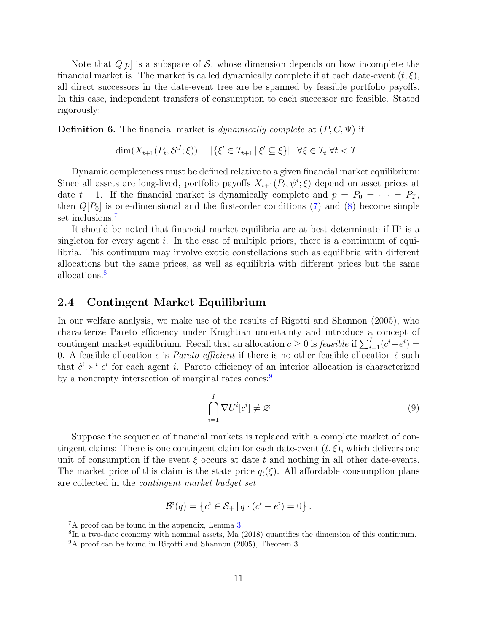Note that  $Q[p]$  is a subspace of S, whose dimension depends on how incomplete the financial market is. The market is called dynamically complete if at each date-event  $(t, \xi)$ , all direct successors in the date-event tree are be spanned by feasible portfolio payoffs. In this case, independent transfers of consumption to each successor are feasible. Stated rigorously:

<span id="page-10-4"></span>**Definition 6.** The financial market is *dynamically complete* at  $(P, C, \Psi)$  if

$$
\dim(X_{t+1}(P_t, \mathcal{S}^J; \xi)) = |\{\xi' \in \mathcal{I}_{t+1} \,|\, \xi' \subseteq \xi\}| \quad \forall \xi \in \mathcal{I}_t \,\forall t < T.
$$

Dynamic completeness must be defined relative to a given financial market equilibrium: Since all assets are long-lived, portfolio payoffs  $X_{t+1}(P_t, \psi^i; \xi)$  depend on asset prices at date  $t + 1$ . If the financial market is dynamically complete and  $p = P_0 = \cdots = P_T$ , then  $Q[P_0]$  is one-dimensional and the first-order conditions [\(7\)](#page-9-2) and [\(8\)](#page-9-3) become simple set inclusions.<sup>[7](#page-10-0)</sup>

It should be noted that financial market equilibria are at best determinate if  $\Pi^i$  is a singleton for every agent  $i$ . In the case of multiple priors, there is a continuum of equilibria. This continuum may involve exotic constellations such as equilibria with different allocations but the same prices, as well as equilibria with different prices but the same allocations.<sup>[8](#page-10-1)</sup>

#### 2.4 Contingent Market Equilibrium

In our welfare analysis, we make use of the results of [Rigotti and Shannon](#page-35-2) [\(2005\)](#page-35-2), who characterize Pareto efficiency under Knightian uncertainty and introduce a concept of contingent market equilibrium. Recall that an allocation  $c \geq 0$  is *feasible* if  $\sum_{i=1}^{I} (c^i - e^i) =$ 0. A feasible allocation c is *Pareto efficient* if there is no other feasible allocation  $\hat{c}$  such that  $\hat{c}^i \succ^i c^i$  for each agent i. Pareto efficiency of an interior allocation is characterized by a nonempty intersection of marginal rates cones:<sup>[9](#page-10-2)</sup>

<span id="page-10-3"></span>
$$
\bigcap_{i=1}^{I} \nabla U^{i}[c^{i}] \neq \varnothing \tag{9}
$$

Suppose the sequence of financial markets is replaced with a complete market of contingent claims: There is one contingent claim for each date-event  $(t, \xi)$ , which delivers one unit of consumption if the event  $\xi$  occurs at date t and nothing in all other date-events. The market price of this claim is the state price  $q_t(\xi)$ . All affordable consumption plans are collected in the contingent market budget set

$$
\mathcal{B}^{i}(q) = \left\{ c^{i} \in \mathcal{S}_{+} \, | \, q \cdot (c^{i} - e^{i}) = 0 \right\}.
$$

<span id="page-10-0"></span><sup>7</sup>A proof can be found in the appendix, Lemma [3.](#page-33-0)

<span id="page-10-1"></span><sup>&</sup>lt;sup>8</sup>In a two-date economy with nominal assets, [Ma](#page-35-13) [\(2018\)](#page-35-13) quantifies the dimension of this continuum.

<span id="page-10-2"></span><sup>9</sup>A proof can be found in [Rigotti and Shannon](#page-35-2) [\(2005\)](#page-35-2), Theorem 3.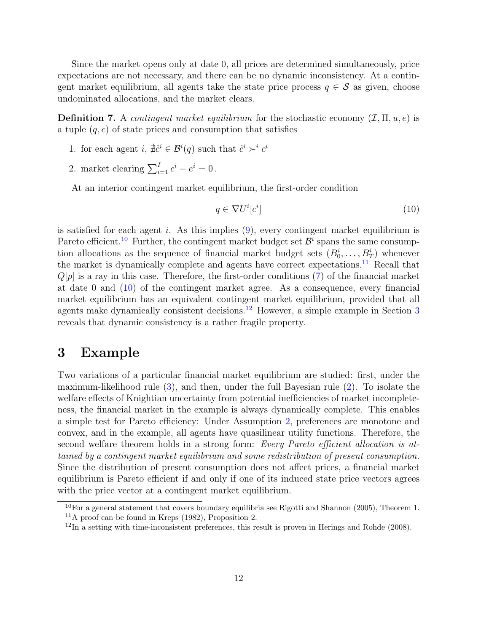Since the market opens only at date 0, all prices are determined simultaneously, price expectations are not necessary, and there can be no dynamic inconsistency. At a contingent market equilibrium, all agents take the state price process  $q \in \mathcal{S}$  as given, choose undominated allocations, and the market clears.

**Definition 7.** A *contingent market equilibrium* for the stochastic economy  $(\mathcal{I}, \Pi, u, e)$  is a tuple  $(q, c)$  of state prices and consumption that satisfies

- 1. for each agent  $i, \nexists \hat{c}^i \in \mathcal{B}^i(q)$  such that  $\hat{c}^i \succ^i c^i$
- 2. market clearing  $\sum_{i=1}^{I} c^i e^i = 0$ .

At an interior contingent market equilibrium, the first-order condition

<span id="page-11-3"></span>
$$
q \in \nabla U^i[c^i] \tag{10}
$$

is satisfied for each agent i. As this implies  $(9)$ , every contingent market equilibrium is Pareto efficient.<sup>[10](#page-11-1)</sup> Further, the contingent market budget set  $\mathcal{B}^i$  spans the same consumption allocations as the sequence of financial market budget sets  $(B_0^i, \ldots, B_T^i)$  whenever the market is dynamically complete and agents have correct expectations.<sup>[11](#page-11-2)</sup> Recall that  $Q[p]$  is a ray in this case. Therefore, the first-order conditions [\(7\)](#page-9-2) of the financial market at date 0 and [\(10\)](#page-11-3) of the contingent market agree. As a consequence, every financial market equilibrium has an equivalent contingent market equilibrium, provided that all agents make dynamically consistent decisions.<sup>[12](#page-11-4)</sup> However, a simple example in Section  $3$ reveals that dynamic consistency is a rather fragile property.

### <span id="page-11-0"></span>3 Example

Two variations of a particular financial market equilibrium are studied: first, under the maximum-likelihood rule [\(3\)](#page-5-2), and then, under the full Bayesian rule [\(2\)](#page-4-2). To isolate the welfare effects of Knightian uncertainty from potential inefficiencies of market incompleteness, the financial market in the example is always dynamically complete. This enables a simple test for Pareto efficiency: Under Assumption [2,](#page-5-1) preferences are monotone and convex, and in the example, all agents have quasilinear utility functions. Therefore, the second welfare theorem holds in a strong form: Every Pareto efficient allocation is attained by a contingent market equilibrium and some redistribution of present consumption. Since the distribution of present consumption does not affect prices, a financial market equilibrium is Pareto efficient if and only if one of its induced state price vectors agrees with the price vector at a contingent market equilibrium.

<span id="page-11-2"></span><span id="page-11-1"></span> $10\,\text{For a general statement that covers boundary equilibria see Rigotti and Shannon (2005), Theorem 1.}$  $10\,\text{For a general statement that covers boundary equilibria see Rigotti and Shannon (2005), Theorem 1.}$  $10\,\text{For a general statement that covers boundary equilibria see Rigotti and Shannon (2005), Theorem 1.}$  $10\,\text{For a general statement that covers boundary equilibria see Rigotti and Shannon (2005), Theorem 1.}$  $10\,\text{For a general statement that covers boundary equilibria see Rigotti and Shannon (2005), Theorem 1.}$  $11$ A proof can be found in [Kreps](#page-35-4) [\(1982\)](#page-35-4), Proposition 2.

<span id="page-11-4"></span> $12 \text{In a setting with time-inconsistent preferences, this result is proven in Herings and Rohde (2008).}$  $12 \text{In a setting with time-inconsistent preferences, this result is proven in Herings and Rohde (2008).}$  $12 \text{In a setting with time-inconsistent preferences, this result is proven in Herings and Rohde (2008).}$  $12 \text{In a setting with time-inconsistent preferences, this result is proven in Herings and Rohde (2008).}$  $12 \text{In a setting with time-inconsistent preferences, this result is proven in Herings and Rohde (2008).}$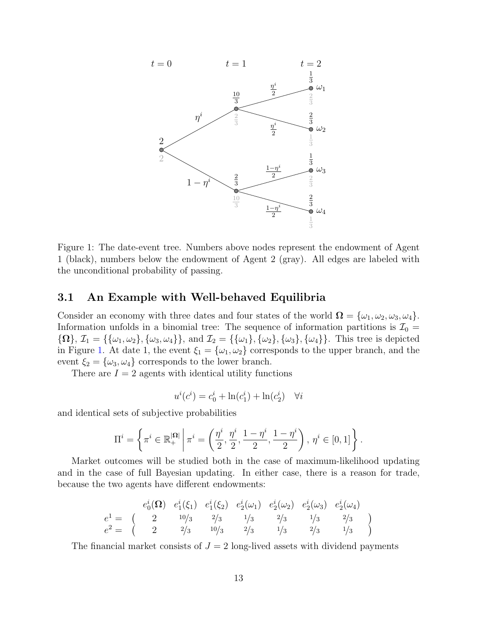

<span id="page-12-0"></span>Figure 1: The date-event tree. Numbers above nodes represent the endowment of Agent 1 (black), numbers below the endowment of Agent 2 (gray). All edges are labeled with the unconditional probability of passing.

#### <span id="page-12-1"></span>3.1 An Example with Well-behaved Equilibria

Consider an economy with three dates and four states of the world  $\Omega = {\omega_1, \omega_2, \omega_3, \omega_4}.$ Information unfolds in a binomial tree: The sequence of information partitions is  $\mathcal{I}_0$  =  ${\Omega}, \mathcal{I}_1 = {\{\{\omega_1,\omega_2\},\{\omega_3,\omega_4\}\}\$ , and  $\mathcal{I}_2 = {\{\{\omega_1\},\{\omega_2\},\{\omega_3\},\{\omega_4\}\}\}\$ . This tree is depicted in Figure [1.](#page-12-0) At date 1, the event  $\xi_1 = {\omega_1, \omega_2}$  corresponds to the upper branch, and the event  $\xi_2 = {\omega_3, \omega_4}$  corresponds to the lower branch.

There are  $I = 2$  agents with identical utility functions

$$
u^{i}(c^{i}) = c_{0}^{i} + \ln(c_{1}^{i}) + \ln(c_{2}^{i}) \quad \forall i
$$

and identical sets of subjective probabilities

$$
\Pi^{i} = \left\{ \pi^{i} \in \mathbb{R}_{+}^{|\Omega|} \, \middle| \, \pi^{i} = \left( \frac{\eta^{i}}{2}, \frac{\eta^{i}}{2}, \frac{1 - \eta^{i}}{2}, \frac{1 - \eta^{i}}{2} \right), \, \eta^{i} \in [0, 1] \right\}.
$$

Market outcomes will be studied both in the case of maximum-likelihood updating and in the case of full Bayesian updating. In either case, there is a reason for trade, because the two agents have different endowments:

$$
e_0^i(\Omega) \quad e_1^i(\xi_1) \quad e_1^i(\xi_2) \quad e_2^i(\omega_1) \quad e_2^i(\omega_2) \quad e_2^i(\omega_3) \quad e_2^i(\omega_4)
$$
\n
$$
e_0^1 = \begin{pmatrix} 2 & 10/3 & 2/3 & 1/3 & 2/3 & 1/3 & 2/3 \\ 2 & 2/3 & 10/3 & 2/3 & 1/3 & 2/3 & 1/3 \end{pmatrix}
$$

The financial market consists of  $J = 2$  long-lived assets with dividend payments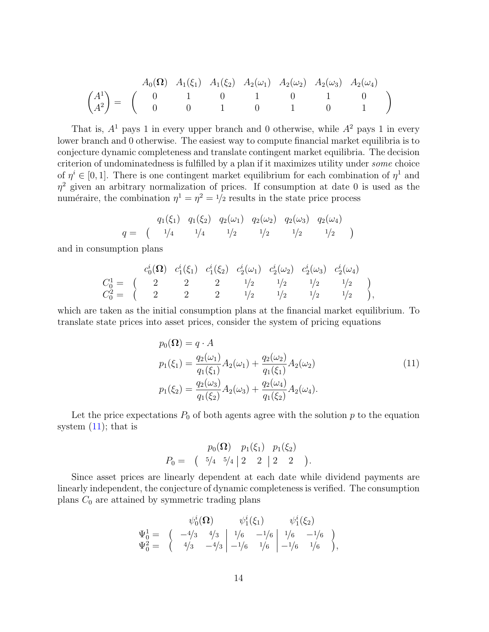$$
\begin{pmatrix} A^1 \ A^2 \end{pmatrix} = \begin{pmatrix} A_0(\Omega) & A_1(\xi_1) & A_1(\xi_2) & A_2(\omega_1) & A_2(\omega_2) & A_2(\omega_3) & A_2(\omega_4) \\ 0 & 1 & 0 & 1 & 0 & 1 \\ 0 & 0 & 1 & 0 & 1 & 0 \end{pmatrix}
$$

That is,  $A^1$  pays 1 in every upper branch and 0 otherwise, while  $A^2$  pays 1 in every lower branch and 0 otherwise. The easiest way to compute financial market equilibria is to conjecture dynamic completeness and translate contingent market equilibria. The decision criterion of undominatedness is fulfilled by a plan if it maximizes utility under some choice of  $\eta^i \in [0,1]$ . There is one contingent market equilibrium for each combination of  $\eta^1$  and  $\eta^2$  given an arbitrary normalization of prices. If consumption at date 0 is used as the numéraire, the combination  $\eta^1 = \eta^2 = 1/2$  results in the state price process

$$
q = \begin{pmatrix} q_1(\xi_1) & q_1(\xi_2) & q_2(\omega_1) & q_2(\omega_2) & q_2(\omega_3) & q_2(\omega_4) \\ 1/4 & 1/4 & 1/2 & 1/2 & 1/2 & 1/2 \end{pmatrix}
$$

and in consumption plans

$$
C_0^1 = \begin{pmatrix} c_0^i(\Omega) & c_1^i(\xi_1) & c_1^i(\xi_2) & c_2^i(\omega_1) & c_2^i(\omega_2) & c_2^i(\omega_3) & c_2^i(\omega_4) \\ 2 & 2 & 2 & 1/2 & 1/2 & 1/2 & 1/2 \\ C_0^2 = \begin{pmatrix} 2 & 2 & 2 & 1/2 & 1/2 & 1/2 & 1/2 \\ 2 & 2 & 2 & 1/2 & 1/2 & 1/2 & 1/2 \\ 2 & 2 & 2 & 1/2 & 1/2 & 1/2 & 1/2 \end{pmatrix},
$$

which are taken as the initial consumption plans at the financial market equilibrium. To translate state prices into asset prices, consider the system of pricing equations

<span id="page-13-0"></span>
$$
p_0(\Omega) = q \cdot A
$$
  
\n
$$
p_1(\xi_1) = \frac{q_2(\omega_1)}{q_1(\xi_1)} A_2(\omega_1) + \frac{q_2(\omega_2)}{q_1(\xi_1)} A_2(\omega_2)
$$
  
\n
$$
p_1(\xi_2) = \frac{q_2(\omega_3)}{q_1(\xi_2)} A_2(\omega_3) + \frac{q_2(\omega_4)}{q_1(\xi_2)} A_2(\omega_4).
$$
\n(11)

Let the price expectations  $P_0$  of both agents agree with the solution  $p$  to the equation system  $(11)$ ; that is

$$
p_0(\Omega) \quad p_1(\xi_1) \quad p_1(\xi_2)
$$
  
\n
$$
P_0 = \begin{pmatrix} 5/4 & 5/4 \end{pmatrix} \begin{pmatrix} 2 & 2 \end{pmatrix} \begin{pmatrix} 2 & 2 \end{pmatrix}.
$$

Since asset prices are linearly dependent at each date while dividend payments are linearly independent, the conjecture of dynamic completeness is verified. The consumption plans  $C_0$  are attained by symmetric trading plans

$$
\Psi_0^i(\Omega) \qquad \psi_1^i(\xi_1) \qquad \psi_1^i(\xi_2)
$$
\n
$$
\Psi_0^1 = \begin{pmatrix} -4/3 & 4/3 \\ 4/3 & -4/3 \end{pmatrix} \begin{vmatrix} 1/6 & -1/6 \\ -1/6 & 1/6 \end{vmatrix} \begin{vmatrix} 1/6 & -1/6 \\ -1/6 & 1/6 \end{vmatrix},
$$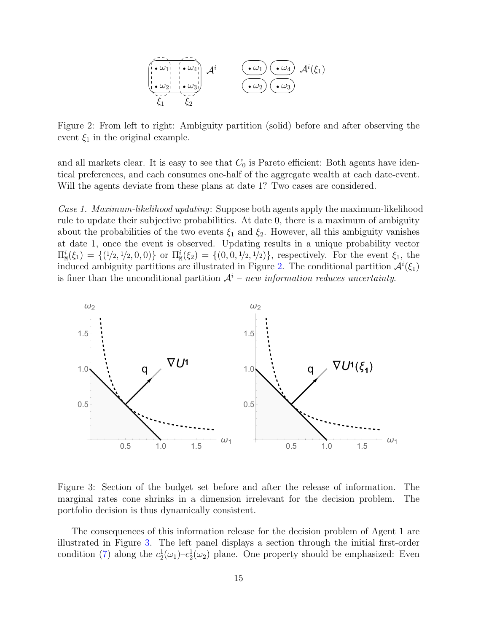$$
\begin{pmatrix}\n\overbrace{\cdot\omega_1}\\ \cdot\omega_2\\ \cdot\omega_3\\ \hline\n\overbrace{\xi_1}\n\end{pmatrix}\n\mathcal{A}^i\n\qquad\n\begin{pmatrix}\n\overbrace{\cdot\omega_1}\\ \cdot\omega_2\\ \hline\n\end{pmatrix}\n\mathcal{A}^i(\xi_1)
$$

<span id="page-14-0"></span>Figure 2: From left to right: Ambiguity partition (solid) before and after observing the event  $\xi_1$  in the original example.

and all markets clear. It is easy to see that  $C_0$  is Pareto efficient: Both agents have identical preferences, and each consumes one-half of the aggregate wealth at each date-event. Will the agents deviate from these plans at date 1? Two cases are considered.

Case 1. Maximum-likelihood updating: Suppose both agents apply the maximum-likelihood rule to update their subjective probabilities. At date 0, there is a maximum of ambiguity about the probabilities of the two events  $\xi_1$  and  $\xi_2$ . However, all this ambiguity vanishes at date 1, once the event is observed. Updating results in a unique probability vector  $\Pi_{\text{M}}^{i}(\xi_1) = \{ (1/2, 1/2, 0, 0) \}$  or  $\Pi_{\text{M}}^{i}(\xi_2) = \{ (0, 0, 1/2, 1/2) \}$ , respectively. For the event  $\xi_1$ , the induced ambiguity partitions are illustrated in Figure [2.](#page-14-0) The conditional partition  $\mathcal{A}^i(\xi_1)$ is finer than the unconditional partition  $A<sup>i</sup>$  – new information reduces uncertainty.



<span id="page-14-1"></span>Figure 3: Section of the budget set before and after the release of information. The marginal rates cone shrinks in a dimension irrelevant for the decision problem. The portfolio decision is thus dynamically consistent.

The consequences of this information release for the decision problem of Agent 1 are illustrated in Figure [3.](#page-14-1) The left panel displays a section through the initial first-order condition [\(7\)](#page-9-2) along the  $c_2^1(\omega_1) - c_2^1(\omega_2)$  plane. One property should be emphasized: Even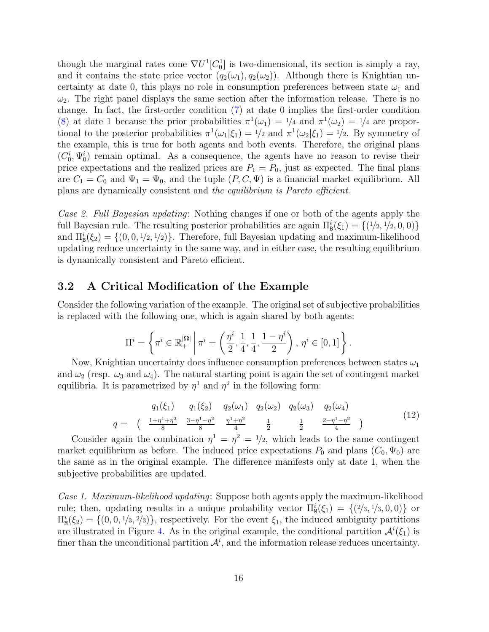though the marginal rates cone  $\nabla U^1[C_0^1]$  is two-dimensional, its section is simply a ray, and it contains the state price vector  $(q_2(\omega_1), q_2(\omega_2))$ . Although there is Knightian uncertainty at date 0, this plays no role in consumption preferences between state  $\omega_1$  and  $\omega_2$ . The right panel displays the same section after the information release. There is no change. In fact, the first-order condition [\(7\)](#page-9-2) at date 0 implies the first-order condition [\(8\)](#page-9-3) at date 1 because the prior probabilities  $\pi^1(\omega_1) = 1/4$  and  $\pi^1(\omega_2) = 1/4$  are proportional to the posterior probabilities  $\pi^1(\omega_1|\xi_1) = 1/2$  and  $\pi^1(\omega_2|\xi_1) = 1/2$ . By symmetry of the example, this is true for both agents and both events. Therefore, the original plans  $(C_0^i, \Psi_0^i)$  remain optimal. As a consequence, the agents have no reason to revise their price expectations and the realized prices are  $P_1 = P_0$ , just as expected. The final plans are  $C_1 = C_0$  and  $\Psi_1 = \Psi_0$ , and the tuple  $(P, C, \Psi)$  is a financial market equilibrium. All plans are dynamically consistent and the equilibrium is Pareto efficient.

Case 2. Full Bayesian updating: Nothing changes if one or both of the agents apply the full Bayesian rule. The resulting posterior probabilities are again  $\Pi_{\mathbf{B}}^{i}(\xi_1) = \{(1/2, 1/2, 0, 0)\}$ and  $\Pi_{\mathbf{B}}^{i}(\xi_{2}) = \{(0,0,1/2,1/2)\}\.$  Therefore, full Bayesian updating and maximum-likelihood updating reduce uncertainty in the same way, and in either case, the resulting equilibrium is dynamically consistent and Pareto efficient.

#### <span id="page-15-1"></span>3.2 A Critical Modification of the Example

Consider the following variation of the example. The original set of subjective probabilities is replaced with the following one, which is again shared by both agents:

$$
\Pi^{i} = \left\{ \pi^{i} \in \mathbb{R}_{+}^{|\Omega|} \, \middle| \, \pi^{i} = \left( \frac{\eta^{i}}{2}, \frac{1}{4}, \frac{1}{4}, \frac{1 - \eta^{i}}{2} \right), \, \eta^{i} \in [0, 1] \right\}.
$$

Now, Knightian uncertainty does influence consumption preferences between states  $\omega_1$ and  $\omega_2$  (resp.  $\omega_3$  and  $\omega_4$ ). The natural starting point is again the set of contingent market equilibria. It is parametrized by  $\eta^1$  and  $\eta^2$  in the following form:

<span id="page-15-0"></span>
$$
q = \begin{pmatrix} q_1(\xi_1) & q_1(\xi_2) & q_2(\omega_1) & q_2(\omega_2) & q_2(\omega_3) & q_2(\omega_4) \\ \frac{1+\eta^1+\eta^2}{8} & \frac{3-\eta^1-\eta^2}{8} & \frac{\eta^1+\eta^2}{4} & \frac{1}{2} & \frac{1}{2} & \frac{2-\eta^1-\eta^2}{4} \end{pmatrix}
$$
(12)

Consider again the combination  $\eta^1 = \eta^2 = 1/2$ , which leads to the same contingent market equilibrium as before. The induced price expectations  $P_0$  and plans  $(C_0, \Psi_0)$  are the same as in the original example. The difference manifests only at date 1, when the subjective probabilities are updated.

Case 1. Maximum-likelihood updating: Suppose both agents apply the maximum-likelihood rule; then, updating results in a unique probability vector  $\Pi_{\text{M}}^{i}(\xi_1) = \{(2/3, 1/3, 0, 0)\}$  or  $\Pi_{\text{M}}^{i}(\xi_{2}) = \{(0,0,1/3,2/3)\}\$ , respectively. For the event  $\xi_{1}$ , the induced ambiguity partitions are illustrated in Figure [4.](#page-16-0) As in the original example, the conditional partition  $\mathcal{A}^{i}(\xi_1)$  is finer than the unconditional partition  $\mathcal{A}^i$ , and the information release reduces uncertainty.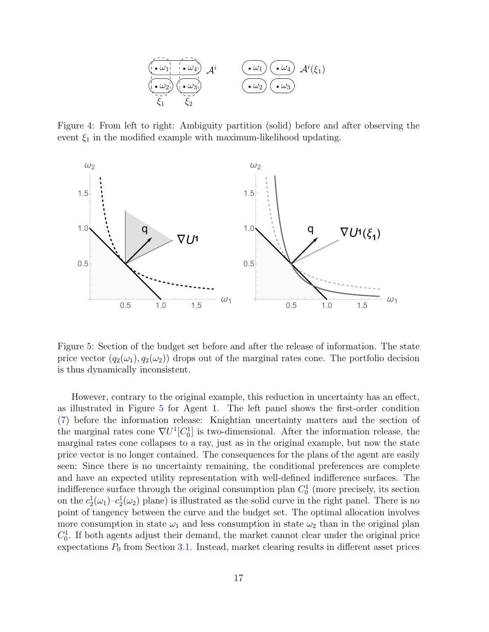

<span id="page-16-0"></span>Figure 4: From left to right: Ambiguity partition (solid) before and after observing the event  $\xi_1$  in the modified example with maximum-likelihood updating.



<span id="page-16-1"></span>Figure 5: Section of the budget set before and after the release of information. The state price vector  $(q_2(\omega_1), q_2(\omega_2))$  drops out of the marginal rates cone. The portfolio decision is thus dynamically inconsistent.

However, contrary to the original example, this reduction in uncertainty has an effect, as illustrated in Figure [5](#page-16-1) for Agent 1. The left panel shows the first-order condition [\(7\)](#page-9-2) before the information release: Knightian uncertainty matters and the section of the marginal rates cone  $\nabla U^1[C_0^1]$  is two-dimensional. After the information release, the marginal rates cone collapses to a ray, just as in the original example, but now the state price vector is no longer contained. The consequences for the plans of the agent are easily seen: Since there is no uncertainty remaining, the conditional preferences are complete and have an expected utility representation with well-defined indifference surfaces. The indifference surface through the original consumption plan  $C_0^1$  (more precisely, its section on the  $c_2^1(\omega_1)-c_2^1(\omega_2)$  plane) is illustrated as the solid curve in the right panel. There is no point of tangency between the curve and the budget set. The optimal allocation involves more consumption in state  $\omega_1$  and less consumption in state  $\omega_2$  than in the original plan  $C_0^1$ . If both agents adjust their demand, the market cannot clear under the original price expectations  $P_0$  from Section [3.1.](#page-12-1) Instead, market clearing results in different asset prices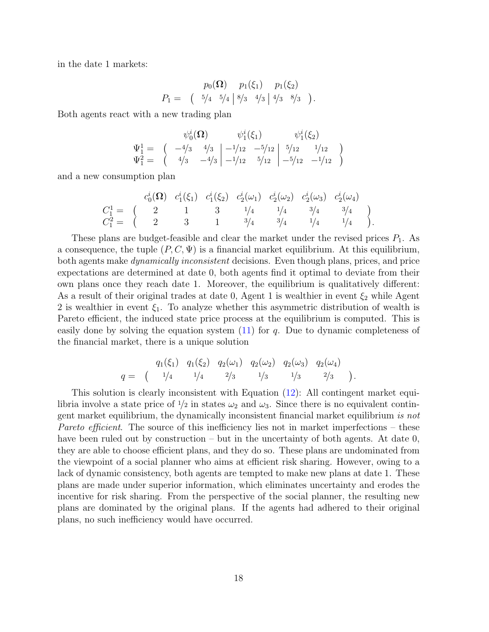in the date 1 markets:

$$
p_0(\Omega) \quad p_1(\xi_1) \quad p_1(\xi_2)
$$
  
 
$$
P_1 = \begin{pmatrix} 5/4 & 5/4 \end{pmatrix} \begin{pmatrix} 8/3 & 4/3 \end{pmatrix} \begin{pmatrix} 4/3 & 8/3 \end{pmatrix}.
$$

Both agents react with a new trading plan

$$
\psi_0^i(\Omega) \qquad \psi_1^i(\xi_1) \qquad \psi_1^i(\xi_2)
$$
\n
$$
\Psi_1^1 = \begin{pmatrix} -4/3 & 4/3 \\ 4/3 & -4/3 \end{pmatrix} \begin{vmatrix} -1/12 & -5/12 \\ -1/12 & 5/12 \end{vmatrix} \begin{vmatrix} 5/12 & 1/12 \\ -5/12 & -1/12 \end{vmatrix}
$$

and a new consumption plan

$$
C_1^1 = \begin{pmatrix} c_0^i(\Omega) & c_1^i(\xi_1) & c_1^i(\xi_2) & c_2^i(\omega_1) & c_2^i(\omega_2) & c_2^i(\omega_3) & c_2^i(\omega_4) \\ 2 & 1 & 3 & 1/4 & 1/4 & 3/4 & 3/4 \\ C_1^2 = \begin{pmatrix} 2 & 3 & 1 & 3/4 & 3/4 & 1/4 \\ 1 & 3/4 & 3/4 & 1/4 & 1/4 & 1/4 \\ 3 & 3/4 & 3/4 & 1/4 & 1/4 & 1/4 \end{pmatrix}.
$$

These plans are budget-feasible and clear the market under the revised prices  $P_1$ . As a consequence, the tuple  $(P, C, \Psi)$  is a financial market equilibrium. At this equilibrium, both agents make *dynamically inconsistent* decisions. Even though plans, prices, and price expectations are determined at date 0, both agents find it optimal to deviate from their own plans once they reach date 1. Moreover, the equilibrium is qualitatively different: As a result of their original trades at date 0, Agent 1 is wealthier in event  $\xi_2$  while Agent 2 is wealthier in event  $\xi_1$ . To analyze whether this asymmetric distribution of wealth is Pareto efficient, the induced state price process at the equilibrium is computed. This is easily done by solving the equation system  $(11)$  for q. Due to dynamic completeness of the financial market, there is a unique solution

$$
q = \begin{pmatrix} q_1(\xi_1) & q_1(\xi_2) & q_2(\omega_1) & q_2(\omega_2) & q_2(\omega_3) & q_2(\omega_4) \\ 1/4 & 1/4 & 2/3 & 1/3 & 1/3 & 2/3 \end{pmatrix}.
$$

This solution is clearly inconsistent with Equation [\(12\)](#page-15-0): All contingent market equilibria involve a state price of  $\frac{1}{2}$  in states  $\omega_2$  and  $\omega_3$ . Since there is no equivalent contingent market equilibrium, the dynamically inconsistent financial market equilibrium is not Pareto efficient. The source of this inefficiency lies not in market imperfections – these have been ruled out by construction – but in the uncertainty of both agents. At date 0, they are able to choose efficient plans, and they do so. These plans are undominated from the viewpoint of a social planner who aims at efficient risk sharing. However, owing to a lack of dynamic consistency, both agents are tempted to make new plans at date 1. These plans are made under superior information, which eliminates uncertainty and erodes the incentive for risk sharing. From the perspective of the social planner, the resulting new plans are dominated by the original plans. If the agents had adhered to their original plans, no such inefficiency would have occurred.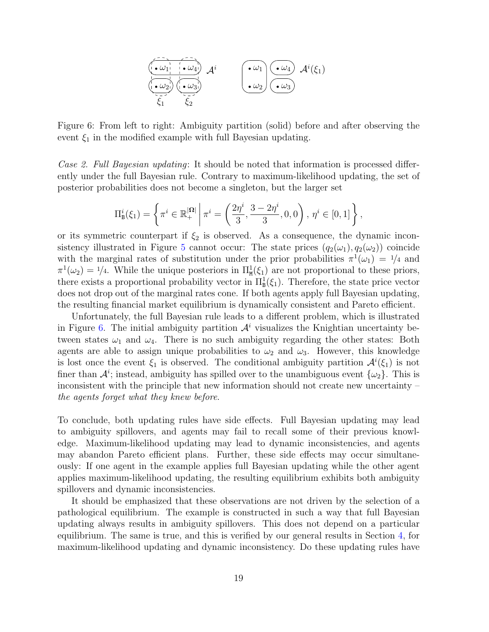

<span id="page-18-0"></span>Figure 6: From left to right: Ambiguity partition (solid) before and after observing the event  $\xi_1$  in the modified example with full Bayesian updating.

Case 2. Full Bayesian updating: It should be noted that information is processed differently under the full Bayesian rule. Contrary to maximum-likelihood updating, the set of posterior probabilities does not become a singleton, but the larger set

$$
\Pi_{\mathbf{B}}^{i}(\xi_{1}) = \left\{ \pi^{i} \in \mathbb{R}_{+}^{|\Omega|} \middle| \pi^{i} = \left( \frac{2\eta^{i}}{3}, \frac{3 - 2\eta^{i}}{3}, 0, 0 \right), \eta^{i} \in [0, 1] \right\},\
$$

or its symmetric counterpart if  $\xi_2$  is observed. As a consequence, the dynamic incon-sistency illustrated in Figure [5](#page-16-1) cannot occur: The state prices  $(q_2(\omega_1), q_2(\omega_2))$  coincide with the marginal rates of substitution under the prior probabilities  $\pi^1(\omega_1) = \frac{1}{4}$  and  $\pi^1(\omega_2) = 1/4$ . While the unique posteriors in  $\Pi^1_{\mathbf{M}}(\xi_1)$  are not proportional to these priors, there exists a proportional probability vector in  $\Pi_{\mathbf{B}}^1(\xi_1)$ . Therefore, the state price vector does not drop out of the marginal rates cone. If both agents apply full Bayesian updating, the resulting financial market equilibrium is dynamically consistent and Pareto efficient.

Unfortunately, the full Bayesian rule leads to a different problem, which is illustrated in Figure [6.](#page-18-0) The initial ambiguity partition  $\mathcal{A}^i$  visualizes the Knightian uncertainty between states  $\omega_1$  and  $\omega_4$ . There is no such ambiguity regarding the other states: Both agents are able to assign unique probabilities to  $\omega_2$  and  $\omega_3$ . However, this knowledge is lost once the event  $\xi_1$  is observed. The conditional ambiguity partition  $\mathcal{A}^i(\xi_1)$  is not finer than  $\mathcal{A}^i$ ; instead, ambiguity has spilled over to the unambiguous event  $\{\omega_2\}$ . This is inconsistent with the principle that new information should not create new uncertainty – the agents forget what they knew before.

To conclude, both updating rules have side effects. Full Bayesian updating may lead to ambiguity spillovers, and agents may fail to recall some of their previous knowledge. Maximum-likelihood updating may lead to dynamic inconsistencies, and agents may abandon Pareto efficient plans. Further, these side effects may occur simultaneously: If one agent in the example applies full Bayesian updating while the other agent applies maximum-likelihood updating, the resulting equilibrium exhibits both ambiguity spillovers and dynamic inconsistencies.

It should be emphasized that these observations are not driven by the selection of a pathological equilibrium. The example is constructed in such a way that full Bayesian updating always results in ambiguity spillovers. This does not depend on a particular equilibrium. The same is true, and this is verified by our general results in Section [4,](#page-19-0) for maximum-likelihood updating and dynamic inconsistency. Do these updating rules have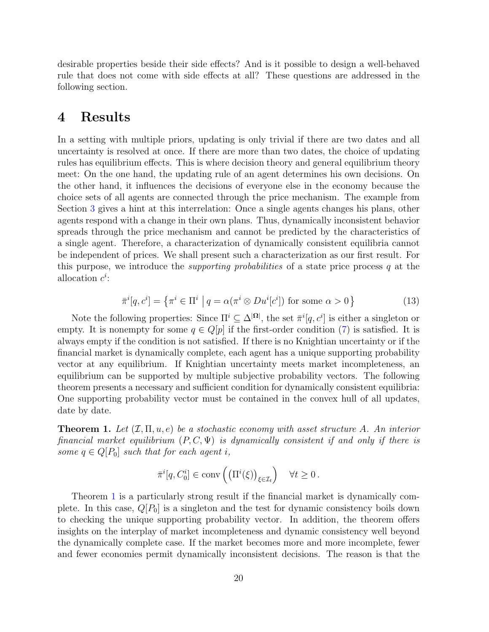desirable properties beside their side effects? And is it possible to design a well-behaved rule that does not come with side effects at all? These questions are addressed in the following section.

### <span id="page-19-0"></span>4 Results

In a setting with multiple priors, updating is only trivial if there are two dates and all uncertainty is resolved at once. If there are more than two dates, the choice of updating rules has equilibrium effects. This is where decision theory and general equilibrium theory meet: On the one hand, the updating rule of an agent determines his own decisions. On the other hand, it influences the decisions of everyone else in the economy because the choice sets of all agents are connected through the price mechanism. The example from Section [3](#page-11-0) gives a hint at this interrelation: Once a single agents changes his plans, other agents respond with a change in their own plans. Thus, dynamically inconsistent behavior spreads through the price mechanism and cannot be predicted by the characteristics of a single agent. Therefore, a characterization of dynamically consistent equilibria cannot be independent of prices. We shall present such a characterization as our first result. For this purpose, we introduce the *supporting probabilities* of a state price process q at the allocation  $c^i$ :

<span id="page-19-2"></span>
$$
\bar{\pi}^i[q, c^i] = \left\{ \pi^i \in \Pi^i \mid q = \alpha(\pi^i \otimes Du^i[c^i]) \text{ for some } \alpha > 0 \right\}
$$
\n(13)

Note the following properties: Since  $\Pi^i \subseteq \Delta^{|\Omega|}$ , the set  $\bar{\pi}^i[q, c^i]$  is either a singleton or empty. It is nonempty for some  $q \in Q[p]$  if the first-order condition [\(7\)](#page-9-2) is satisfied. It is always empty if the condition is not satisfied. If there is no Knightian uncertainty or if the financial market is dynamically complete, each agent has a unique supporting probability vector at any equilibrium. If Knightian uncertainty meets market incompleteness, an equilibrium can be supported by multiple subjective probability vectors. The following theorem presents a necessary and sufficient condition for dynamically consistent equilibria: One supporting probability vector must be contained in the convex hull of all updates, date by date.

<span id="page-19-1"></span>**Theorem 1.** Let  $(\mathcal{I}, \Pi, u, e)$  be a stochastic economy with asset structure A. An interior financial market equilibrium  $(P, C, \Psi)$  is dynamically consistent if and only if there is some  $q \in Q[P_0]$  such that for each agent i,

$$
\bar{\pi}^i[q, C_0^i] \in \text{conv}\left(\left(\Pi^i(\xi)\right)_{\xi \in \mathcal{I}_t}\right) \quad \forall t \ge 0.
$$

Theorem [1](#page-19-1) is a particularly strong result if the financial market is dynamically complete. In this case,  $Q[P_0]$  is a singleton and the test for dynamic consistency boils down to checking the unique supporting probability vector. In addition, the theorem offers insights on the interplay of market incompleteness and dynamic consistency well beyond the dynamically complete case. If the market becomes more and more incomplete, fewer and fewer economies permit dynamically inconsistent decisions. The reason is that the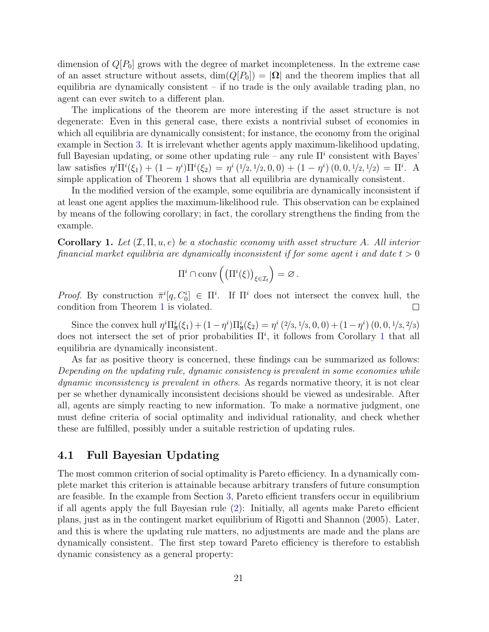dimension of  $Q[P_0]$  grows with the degree of market incompleteness. In the extreme case of an asset structure without assets,  $\dim(Q[P_0]) = |\Omega|$  and the theorem implies that all equilibria are dynamically consistent – if no trade is the only available trading plan, no agent can ever switch to a different plan.

The implications of the theorem are more interesting if the asset structure is not degenerate: Even in this general case, there exists a nontrivial subset of economies in which all equilibria are dynamically consistent; for instance, the economy from the original example in Section [3.](#page-11-0) It is irrelevant whether agents apply maximum-likelihood updating, full Bayesian updating, or some other updating rule – any rule  $\Pi^i$  consistent with Bayes' law satisfies  $\eta^i \Pi^i(\xi_1) + (1 - \eta^i) \Pi^i(\xi_2) = \eta^i (1/2, 1/2, 0, 0) + (1 - \eta^i) (0, 0, 1/2, 1/2) = \Pi^i$ . A simple application of Theorem [1](#page-19-1) shows that all equilibria are dynamically consistent.

In the modified version of the example, some equilibria are dynamically inconsistent if at least one agent applies the maximum-likelihood rule. This observation can be explained by means of the following corollary; in fact, the corollary strengthens the finding from the example.

<span id="page-20-0"></span>**Corollary 1.** Let  $(\mathcal{I}, \Pi, u, e)$  be a stochastic economy with asset structure A. All interior financial market equilibria are dynamically inconsistent if for some agent i and date  $t > 0$ 

$$
\Pi^i \cap conv\left(\left(\Pi^i(\xi)\right)_{\xi \in \mathcal{I}_t}\right) = \varnothing.
$$

Proof. By construction  $\bar{\pi}^i[q, C_0^i] \in \Pi^i$ . If  $\Pi^i$  does not intersect the convex hull, the condition from Theorem [1](#page-19-1) is violated.  $\Box$ 

Since the convex hull  $\eta^i \Pi^i_{\mathbf{M}}(\xi_1) + (1 - \eta^i) \Pi^i_{\mathbf{M}}(\xi_2) = \eta^i (2/3, 1/3, 0, 0) + (1 - \eta^i) (0, 0, 1/3, 2/3)$ does not intersect the set of prior probabilities  $\Pi^i$ , it follows from Corollary [1](#page-20-0) that all equilibria are dynamically inconsistent.

As far as positive theory is concerned, these findings can be summarized as follows: Depending on the updating rule, dynamic consistency is prevalent in some economies while dynamic inconsistency is prevalent in others. As regards normative theory, it is not clear per se whether dynamically inconsistent decisions should be viewed as undesirable. After all, agents are simply reacting to new information. To make a normative judgment, one must define criteria of social optimality and individual rationality, and check whether these are fulfilled, possibly under a suitable restriction of updating rules.

#### 4.1 Full Bayesian Updating

The most common criterion of social optimality is Pareto efficiency. In a dynamically complete market this criterion is attainable because arbitrary transfers of future consumption are feasible. In the example from Section [3,](#page-11-0) Pareto efficient transfers occur in equilibrium if all agents apply the full Bayesian rule [\(2\)](#page-4-2): Initially, all agents make Pareto efficient plans, just as in the contingent market equilibrium of [Rigotti and Shannon](#page-35-2) [\(2005\)](#page-35-2). Later, and this is where the updating rule matters, no adjustments are made and the plans are dynamically consistent. The first step toward Pareto efficiency is therefore to establish dynamic consistency as a general property: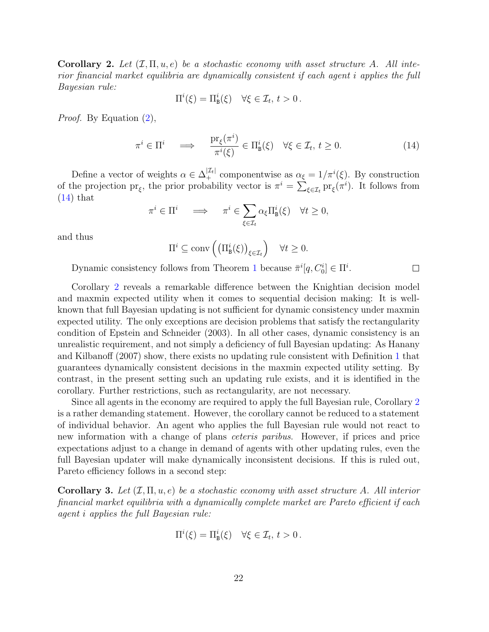<span id="page-21-1"></span>Corollary 2. Let  $(\mathcal{I}, \Pi, u, e)$  be a stochastic economy with asset structure A. All interior financial market equilibria are dynamically consistent if each agent i applies the full Bayesian rule:

$$
\Pi^{i}(\xi) = \Pi^{i}_{\mathbf{B}}(\xi) \quad \forall \xi \in \mathcal{I}_{t}, t > 0.
$$

Proof. By Equation [\(2\)](#page-4-2),

<span id="page-21-0"></span>
$$
\pi^i \in \Pi^i \quad \implies \quad \frac{\mathrm{pr}_{\xi}(\pi^i)}{\pi^i(\xi)} \in \Pi^i_{\mathsf{B}}(\xi) \quad \forall \xi \in \mathcal{I}_t, \, t \ge 0. \tag{14}
$$

 $\Box$ 

Define a vector of weights  $\alpha \in \Delta_+^{|\mathcal{I}_t|}$  componentwise as  $\alpha_{\xi} = 1/\pi^{i}(\xi)$ . By construction of the projection  $pr_{\xi}$ , the prior probability vector is  $\pi^{i} = \sum_{\xi \in \mathcal{I}_{t}} pr_{\xi}(\pi^{i})$ . It follows from  $(14)$  that

$$
\pi^i \in \Pi^i \quad \implies \quad \pi^i \in \sum_{\xi \in \mathcal{I}_t} \alpha_{\xi} \Pi^i_{\mathbf{B}}(\xi) \quad \forall t \ge 0,
$$

and thus

$$
\Pi^i \subseteq \operatorname{conv}\left(\left(\Pi^i_{\mathbf{B}}(\xi)\right)_{\xi \in \mathcal{I}_t}\right) \quad \forall t \geq 0.
$$

Dynamic consistency follows from Theorem [1](#page-19-1) because  $\bar{\pi}^i[q, C_0^i] \in \Pi^i$ .

Corollary [2](#page-21-1) reveals a remarkable difference between the Knightian decision model and maxmin expected utility when it comes to sequential decision making: It is wellknown that full Bayesian updating is not sufficient for dynamic consistency under maxmin expected utility. The only exceptions are decision problems that satisfy the rectangularity condition of [Epstein and Schneider](#page-34-5) [\(2003\)](#page-34-5). In all other cases, dynamic consistency is an unrealistic requirement, and not simply a deficiency of full Bayesian updating: As [Hanany](#page-35-7) [and Kilbanoff](#page-35-7) [\(2007\)](#page-35-7) show, there exists no updating rule consistent with Definition [1](#page-4-0) that guarantees dynamically consistent decisions in the maxmin expected utility setting. By contrast, in the present setting such an updating rule exists, and it is identified in the corollary. Further restrictions, such as rectangularity, are not necessary.

Since all agents in the economy are required to apply the full Bayesian rule, Corollary [2](#page-21-1) is a rather demanding statement. However, the corollary cannot be reduced to a statement of individual behavior. An agent who applies the full Bayesian rule would not react to new information with a change of plans ceteris paribus. However, if prices and price expectations adjust to a change in demand of agents with other updating rules, even the full Bayesian updater will make dynamically inconsistent decisions. If this is ruled out, Pareto efficiency follows in a second step:

<span id="page-21-2"></span>Corollary 3. Let  $(\mathcal{I}, \Pi, u, e)$  be a stochastic economy with asset structure A. All interior financial market equilibria with a dynamically complete market are Pareto efficient if each agent i applies the full Bayesian rule:

$$
\Pi^{i}(\xi) = \Pi^{i}_{\mathsf{B}}(\xi) \quad \forall \xi \in \mathcal{I}_{t}, t > 0.
$$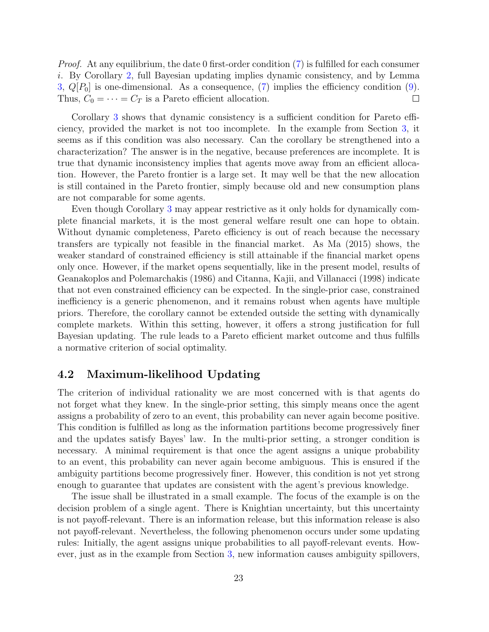*Proof.* At any equilibrium, the date 0 first-order condition [\(7\)](#page-9-2) is fulfilled for each consumer i. By Corollary [2,](#page-21-1) full Bayesian updating implies dynamic consistency, and by Lemma [3,](#page-33-0)  $Q[P_0]$  is one-dimensional. As a consequence, [\(7\)](#page-9-2) implies the efficiency condition [\(9\)](#page-10-3). Thus,  $C_0 = \cdots = C_T$  is a Pareto efficient allocation.  $\Box$ 

Corollary [3](#page-21-2) shows that dynamic consistency is a sufficient condition for Pareto efficiency, provided the market is not too incomplete. In the example from Section [3,](#page-11-0) it seems as if this condition was also necessary. Can the corollary be strengthened into a characterization? The answer is in the negative, because preferences are incomplete. It is true that dynamic inconsistency implies that agents move away from an efficient allocation. However, the Pareto frontier is a large set. It may well be that the new allocation is still contained in the Pareto frontier, simply because old and new consumption plans are not comparable for some agents.

Even though Corollary [3](#page-21-2) may appear restrictive as it only holds for dynamically complete financial markets, it is the most general welfare result one can hope to obtain. Without dynamic completeness, Pareto efficiency is out of reach because the necessary transfers are typically not feasible in the financial market. As [Ma](#page-35-15) [\(2015\)](#page-35-15) shows, the weaker standard of constrained efficiency is still attainable if the financial market opens only once. However, if the market opens sequentially, like in the present model, results of [Geanakoplos and Polemarchakis](#page-34-10) [\(1986\)](#page-34-10) and [Citanna, Kajii, and Villanacci](#page-34-11) [\(1998\)](#page-34-11) indicate that not even constrained efficiency can be expected. In the single-prior case, constrained inefficiency is a generic phenomenon, and it remains robust when agents have multiple priors. Therefore, the corollary cannot be extended outside the setting with dynamically complete markets. Within this setting, however, it offers a strong justification for full Bayesian updating. The rule leads to a Pareto efficient market outcome and thus fulfills a normative criterion of social optimality.

### 4.2 Maximum-likelihood Updating

The criterion of individual rationality we are most concerned with is that agents do not forget what they knew. In the single-prior setting, this simply means once the agent assigns a probability of zero to an event, this probability can never again become positive. This condition is fulfilled as long as the information partitions become progressively finer and the updates satisfy Bayes' law. In the multi-prior setting, a stronger condition is necessary. A minimal requirement is that once the agent assigns a unique probability to an event, this probability can never again become ambiguous. This is ensured if the ambiguity partitions become progressively finer. However, this condition is not yet strong enough to guarantee that updates are consistent with the agent's previous knowledge.

The issue shall be illustrated in a small example. The focus of the example is on the decision problem of a single agent. There is Knightian uncertainty, but this uncertainty is not payoff-relevant. There is an information release, but this information release is also not payoff-relevant. Nevertheless, the following phenomenon occurs under some updating rules: Initially, the agent assigns unique probabilities to all payoff-relevant events. However, just as in the example from Section [3,](#page-11-0) new information causes ambiguity spillovers,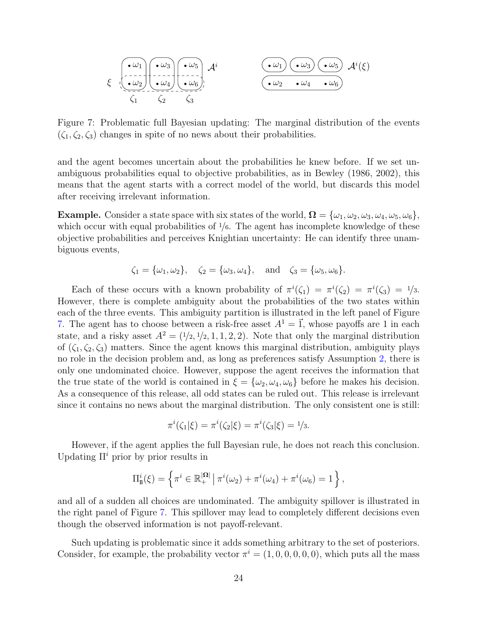$$
\xi \left(\begin{matrix} \cdot \omega_1 \\ \cdot \omega_2 \end{matrix}\right) \left(\begin{matrix} \cdot \omega_3 \\ \cdot \omega_4 \end{matrix}\right) \left(\begin{matrix} \cdot \omega_5 \\ \cdot \omega_6 \end{matrix}\right), \mathcal{A}^i \left(\begin{matrix} \cdot \omega_1 \\ \cdot \omega_2 \end{matrix}\right) \left(\begin{matrix} \cdot \omega_3 \\ \cdot \omega_2 \end{matrix}\right) \left(\begin{matrix} \cdot \omega_5 \\ \cdot \omega_6 \end{matrix}\right) \mathcal{A}^i(\xi)
$$

<span id="page-23-0"></span>Figure 7: Problematic full Bayesian updating: The marginal distribution of the events  $(\zeta_1, \zeta_2, \zeta_3)$  changes in spite of no news about their probabilities.

and the agent becomes uncertain about the probabilities he knew before. If we set unambiguous probabilities equal to objective probabilities, as in [Bewley](#page-34-0) [\(1986,](#page-34-0) [2002\)](#page-34-1), this means that the agent starts with a correct model of the world, but discards this model after receiving irrelevant information.

**Example.** Consider a state space with six states of the world,  $\Omega = {\omega_1, \omega_2, \omega_3, \omega_4, \omega_5, \omega_6}$ , which occur with equal probabilities of  $\frac{1}{6}$ . The agent has incomplete knowledge of these objective probabilities and perceives Knightian uncertainty: He can identify three unambiguous events,

$$
\zeta_1 = {\omega_1, \omega_2}, \quad \zeta_2 = {\omega_3, \omega_4}, \quad \text{and} \quad \zeta_3 = {\omega_5, \omega_6}.
$$

Each of these occurs with a known probability of  $\pi^{i}(\zeta_1) = \pi^{i}(\zeta_2) = \pi^{i}(\zeta_3) = \frac{1}{3}$ . However, there is complete ambiguity about the probabilities of the two states within each of the three events. This ambiguity partition is illustrated in the left panel of Figure [7.](#page-23-0) The agent has to choose between a risk-free asset  $A^1 = \vec{1}$ , whose payoffs are 1 in each state, and a risky asset  $A^2 = (1/2, 1/2, 1, 1, 2, 2)$ . Note that only the marginal distribution of  $(\zeta_1, \zeta_2, \zeta_3)$  matters. Since the agent knows this marginal distribution, ambiguity plays no role in the decision problem and, as long as preferences satisfy Assumption [2,](#page-5-1) there is only one undominated choice. However, suppose the agent receives the information that the true state of the world is contained in  $\xi = {\omega_2, \omega_4, \omega_6}$  before he makes his decision. As a consequence of this release, all odd states can be ruled out. This release is irrelevant since it contains no news about the marginal distribution. The only consistent one is still:

$$
\pi^{i}(\zeta_{1}|\xi) = \pi^{i}(\zeta_{2}|\xi) = \pi^{i}(\zeta_{3}|\xi) = 1/3.
$$

However, if the agent applies the full Bayesian rule, he does not reach this conclusion. Updating  $\Pi^i$  prior by prior results in

$$
\Pi^i_{\mathbf{B}}(\xi) = \left\{ \pi^i \in \mathbb{R}_+^{|\Omega|} \, \middle| \, \pi^i(\omega_2) + \pi^i(\omega_4) + \pi^i(\omega_6) = 1 \right\},\,
$$

and all of a sudden all choices are undominated. The ambiguity spillover is illustrated in the right panel of Figure [7.](#page-23-0) This spillover may lead to completely different decisions even though the observed information is not payoff-relevant.

Such updating is problematic since it adds something arbitrary to the set of posteriors. Consider, for example, the probability vector  $\pi^{i} = (1, 0, 0, 0, 0, 0)$ , which puts all the mass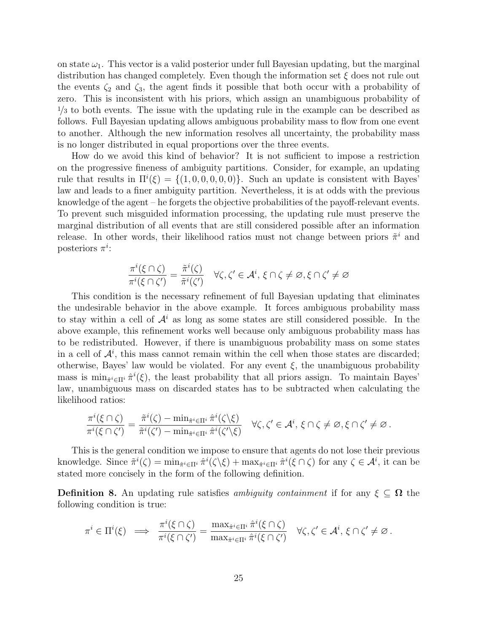on state  $\omega_1$ . This vector is a valid posterior under full Bayesian updating, but the marginal distribution has changed completely. Even though the information set  $\xi$  does not rule out the events  $\zeta_2$  and  $\zeta_3$ , the agent finds it possible that both occur with a probability of zero. This is inconsistent with his priors, which assign an unambiguous probability of  $1/3$  to both events. The issue with the updating rule in the example can be described as follows. Full Bayesian updating allows ambiguous probability mass to flow from one event to another. Although the new information resolves all uncertainty, the probability mass is no longer distributed in equal proportions over the three events.

How do we avoid this kind of behavior? It is not sufficient to impose a restriction on the progressive fineness of ambiguity partitions. Consider, for example, an updating rule that results in  $\Pi^{i}(\xi) = \{(1,0,0,0,0,0)\}.$  Such an update is consistent with Bayes' law and leads to a finer ambiguity partition. Nevertheless, it is at odds with the previous knowledge of the agent – he forgets the objective probabilities of the payoff-relevant events. To prevent such misguided information processing, the updating rule must preserve the marginal distribution of all events that are still considered possible after an information release. In other words, their likelihood ratios must not change between priors  $\tilde{\pi}^i$  and posteriors  $\pi^i$ :

$$
\frac{\pi^i(\xi\cap\zeta)}{\pi^i(\xi\cap\zeta')}=\frac{\tilde{\pi}^i(\zeta)}{\tilde{\pi}^i(\zeta')}\quad\forall\zeta,\zeta'\in\mathcal{A}^i,\,\xi\cap\zeta\ne\varnothing,\xi\cap\zeta'\ne\varnothing
$$

This condition is the necessary refinement of full Bayesian updating that eliminates the undesirable behavior in the above example. It forces ambiguous probability mass to stay within a cell of  $\mathcal{A}^i$  as long as some states are still considered possible. In the above example, this refinement works well because only ambiguous probability mass has to be redistributed. However, if there is unambiguous probability mass on some states in a cell of  $\mathcal{A}^i$ , this mass cannot remain within the cell when those states are discarded; otherwise, Bayes' law would be violated. For any event  $\xi$ , the unambiguous probability mass is  $\min_{\hat{\pi}^i \in \Pi^i} \hat{\pi}^i(\xi)$ , the least probability that all priors assign. To maintain Bayes' law, unambiguous mass on discarded states has to be subtracted when calculating the likelihood ratios:

$$
\frac{\pi^i(\xi\cap\zeta)}{\pi^i(\xi\cap\zeta')}=\frac{\tilde{\pi}^i(\zeta)-\min_{\hat{\pi}^i\in\Pi^i}\hat{\pi}^i(\zeta\setminus\xi)}{\tilde{\pi}^i(\zeta')-\min_{\hat{\pi}^i\in\Pi^i}\hat{\pi}^i(\zeta'\setminus\xi)}\quad\forall\zeta,\zeta'\in\mathcal{A}^i,\,\xi\cap\zeta\neq\varnothing,\xi\cap\zeta'\neq\varnothing\,.
$$

This is the general condition we impose to ensure that agents do not lose their previous knowledge. Since  $\tilde{\pi}^i(\zeta) = \min_{\hat{\pi}^i \in \Pi^i} \hat{\pi}^i(\zeta \setminus \xi) + \max_{\hat{\pi}^i \in \Pi^i} \hat{\pi}^i(\xi \cap \zeta)$  for any  $\zeta \in \mathcal{A}^i$ , it can be stated more concisely in the form of the following definition.

<span id="page-24-0"></span>**Definition 8.** An updating rule satisfies ambiguity containment if for any  $\xi \subseteq \Omega$  the following condition is true:

$$
\pi^i \in \Pi^i(\xi) \implies \frac{\pi^i(\xi \cap \zeta)}{\pi^i(\xi \cap \zeta')} = \frac{\max_{\hat{\pi}^i \in \Pi^i} \hat{\pi}^i(\xi \cap \zeta)}{\max_{\hat{\pi}^i \in \Pi^i} \hat{\pi}^i(\xi \cap \zeta')} \quad \forall \zeta, \zeta' \in \mathcal{A}^i, \xi \cap \zeta' \neq \varnothing.
$$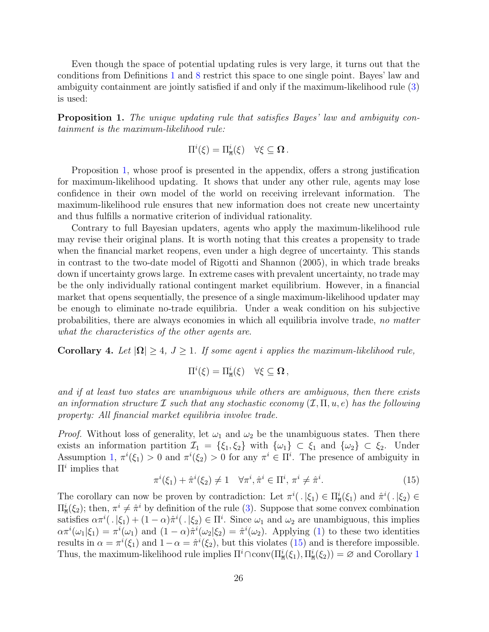Even though the space of potential updating rules is very large, it turns out that the conditions from Definitions [1](#page-4-0) and [8](#page-24-0) restrict this space to one single point. Bayes' law and ambiguity containment are jointly satisfied if and only if the maximum-likelihood rule [\(3\)](#page-5-2) is used:

<span id="page-25-0"></span>Proposition 1. The unique updating rule that satisfies Bayes' law and ambiguity containment is the maximum-likelihood rule:

$$
\Pi^i(\xi) = \Pi^i_{\mathbf{M}}(\xi) \quad \forall \xi \subseteq \Omega.
$$

Proposition [1,](#page-25-0) whose proof is presented in the appendix, offers a strong justification for maximum-likelihood updating. It shows that under any other rule, agents may lose confidence in their own model of the world on receiving irrelevant information. The maximum-likelihood rule ensures that new information does not create new uncertainty and thus fulfills a normative criterion of individual rationality.

Contrary to full Bayesian updaters, agents who apply the maximum-likelihood rule may revise their original plans. It is worth noting that this creates a propensity to trade when the financial market reopens, even under a high degree of uncertainty. This stands in contrast to the two-date model of [Rigotti and Shannon](#page-35-2) [\(2005\)](#page-35-2), in which trade breaks down if uncertainty grows large. In extreme cases with prevalent uncertainty, no trade may be the only individually rational contingent market equilibrium. However, in a financial market that opens sequentially, the presence of a single maximum-likelihood updater may be enough to eliminate no-trade equilibria. Under a weak condition on his subjective probabilities, there are always economies in which all equilibria involve trade, no matter what the characteristics of the other agents are.

<span id="page-25-2"></span>Corollary 4. Let  $|\Omega| \geq 4$ ,  $J \geq 1$ . If some agent i applies the maximum-likelihood rule,

$$
\Pi^i(\xi) = \Pi^i_{\mathtt{M}}(\xi) \quad \forall \xi \subseteq \Omega \,,
$$

and if at least two states are unambiguous while others are ambiguous, then there exists an information structure I such that any stochastic economy  $(\mathcal{I}, \Pi, u, e)$  has the following property: All financial market equilibria involve trade.

*Proof.* Without loss of generality, let  $\omega_1$  and  $\omega_2$  be the unambiguous states. Then there exists an information partition  $\mathcal{I}_1 = \{\xi_1, \xi_2\}$  with  $\{\omega_1\} \subset \xi_1$  and  $\{\omega_2\} \subset \xi_2$ . Under Assumption [1,](#page-4-3)  $\pi^{i}(\xi_1) > 0$  and  $\pi^{i}(\xi_2) > 0$  for any  $\pi^{i} \in \Pi^{i}$ . The presence of ambiguity in  $\Pi^i$  implies that

<span id="page-25-1"></span>
$$
\pi^i(\xi_1) + \hat{\pi}^i(\xi_2) \neq 1 \quad \forall \pi^i, \hat{\pi}^i \in \Pi^i, \pi^i \neq \hat{\pi}^i.
$$
 (15)

The corollary can now be proven by contradiction: Let  $\pi^i(.|\xi_1) \in \Pi^i_{\mathcal{M}}(\xi_1)$  and  $\hat{\pi}^i(.|\xi_2) \in$  $\Pi^i_{\mathbf{M}}(\xi_2)$ ; then,  $\pi^i \neq \hat{\pi}^i$  by definition of the rule [\(3\)](#page-5-2). Suppose that some convex combination satisfies  $\alpha\pi^i(.|\xi_1) + (1-\alpha)\hat{\pi}^i(.|\xi_2) \in \Pi^i$ . Since  $\omega_1$  and  $\omega_2$  are unambiguous, this implies  $\alpha \pi^{i}(\omega_{1}|\xi_{1}) = \pi^{i}(\omega_{1})$  and  $(1-\alpha)\hat{\pi}^{i}(\omega_{2}|\xi_{2}) = \hat{\pi}^{i}(\omega_{2})$ . Applying [\(1\)](#page-4-1) to these two identities results in  $\alpha = \pi^{i}(\xi_1)$  and  $1 - \alpha = \hat{\pi}^{i}(\xi_2)$ , but this violates [\(15\)](#page-25-1) and is therefore impossible. Thus, the maximum-likelihood rule implies  $\Pi^i \cap conv(\Pi^i_{\mathsf{M}}(\xi_1), \Pi^i_{\mathsf{M}}(\xi_2)) = \emptyset$  $\Pi^i \cap conv(\Pi^i_{\mathsf{M}}(\xi_1), \Pi^i_{\mathsf{M}}(\xi_2)) = \emptyset$  $\Pi^i \cap conv(\Pi^i_{\mathsf{M}}(\xi_1), \Pi^i_{\mathsf{M}}(\xi_2)) = \emptyset$  and Corollary 1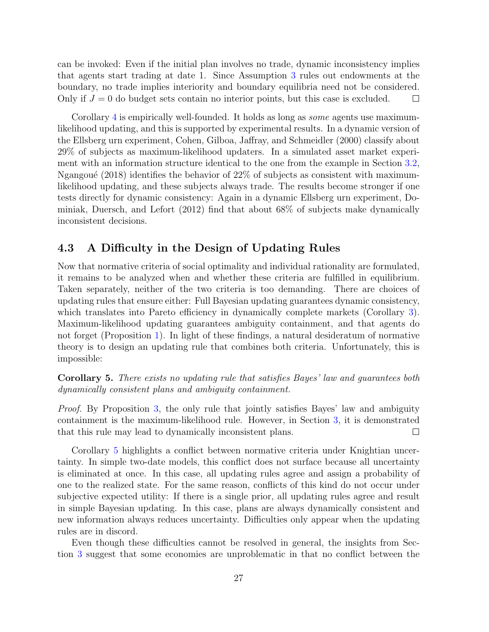can be invoked: Even if the initial plan involves no trade, dynamic inconsistency implies that agents start trading at date 1. Since Assumption [3](#page-6-1) rules out endowments at the boundary, no trade implies interiority and boundary equilibria need not be considered. Only if  $J = 0$  do budget sets contain no interior points, but this case is excluded.  $\Box$ 

Corollary [4](#page-25-2) is empirically well-founded. It holds as long as *some* agents use maximumlikelihood updating, and this is supported by experimental results. In a dynamic version of the Ellsberg urn experiment, [Cohen, Gilboa, Jaffray, and Schmeidler](#page-34-12) [\(2000\)](#page-34-12) classify about 29% of subjects as maximum-likelihood updaters. In a simulated asset market experiment with an information structure identical to the one from the example in Section [3.2,](#page-15-1) Ngangoué [\(2018\)](#page-35-16) identifies the behavior of  $22\%$  of subjects as consistent with maximumlikelihood updating, and these subjects always trade. The results become stronger if one tests directly for dynamic consistency: Again in a dynamic Ellsberg urn experiment, [Do](#page-34-13)[miniak, Duersch, and Lefort](#page-34-13) [\(2012\)](#page-34-13) find that about 68% of subjects make dynamically inconsistent decisions.

### 4.3 A Difficulty in the Design of Updating Rules

Now that normative criteria of social optimality and individual rationality are formulated, it remains to be analyzed when and whether these criteria are fulfilled in equilibrium. Taken separately, neither of the two criteria is too demanding. There are choices of updating rules that ensure either: Full Bayesian updating guarantees dynamic consistency, which translates into Pareto efficiency in dynamically complete markets (Corollary [3\)](#page-21-2). Maximum-likelihood updating guarantees ambiguity containment, and that agents do not forget (Proposition [1\)](#page-25-0). In light of these findings, a natural desideratum of normative theory is to design an updating rule that combines both criteria. Unfortunately, this is impossible:

<span id="page-26-0"></span>Corollary 5. There exists no updating rule that satisfies Bayes' law and guarantees both dynamically consistent plans and ambiguity containment.

Proof. By Proposition [3,](#page-5-2) the only rule that jointly satisfies Bayes' law and ambiguity containment is the maximum-likelihood rule. However, in Section [3,](#page-11-0) it is demonstrated that this rule may lead to dynamically inconsistent plans.  $\Box$ 

Corollary [5](#page-26-0) highlights a conflict between normative criteria under Knightian uncertainty. In simple two-date models, this conflict does not surface because all uncertainty is eliminated at once. In this case, all updating rules agree and assign a probability of one to the realized state. For the same reason, conflicts of this kind do not occur under subjective expected utility: If there is a single prior, all updating rules agree and result in simple Bayesian updating. In this case, plans are always dynamically consistent and new information always reduces uncertainty. Difficulties only appear when the updating rules are in discord.

Even though these difficulties cannot be resolved in general, the insights from Section [3](#page-11-0) suggest that some economies are unproblematic in that no conflict between the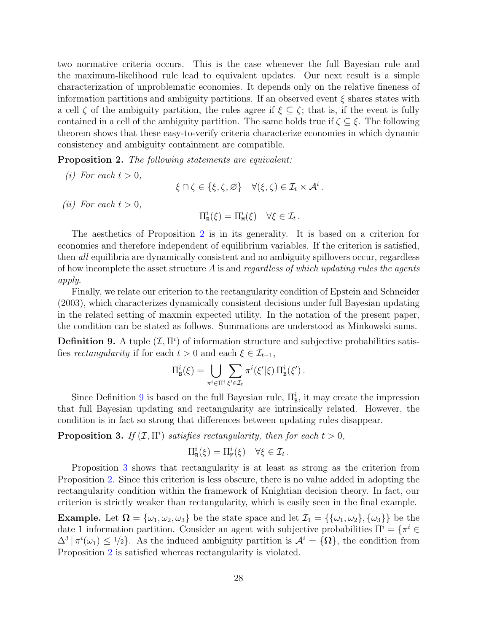two normative criteria occurs. This is the case whenever the full Bayesian rule and the maximum-likelihood rule lead to equivalent updates. Our next result is a simple characterization of unproblematic economies. It depends only on the relative fineness of information partitions and ambiguity partitions. If an observed event  $\xi$  shares states with a cell  $\zeta$  of the ambiguity partition, the rules agree if  $\xi \subseteq \zeta$ ; that is, if the event is fully contained in a cell of the ambiguity partition. The same holds true if  $\zeta \subseteq \xi$ . The following theorem shows that these easy-to-verify criteria characterize economies in which dynamic consistency and ambiguity containment are compatible.

<span id="page-27-0"></span>Proposition 2. The following statements are equivalent:

(i) For each  $t > 0$ ,  $\xi \cap \zeta \in {\xi, \zeta, \varnothing} \quad \forall (\xi, \zeta) \in \mathcal{I}_t \times \mathcal{A}^i$ . (*ii*) For each  $t > 0$ ,  $\Pi^i_{\tt E}$  $\mathbf{E}_{\mathbf{B}}^{i}(\xi) = \Pi_{\mathbf{M}}^{i}(\xi) \quad \forall \xi \in \mathcal{I}_{t}.$ 

The aesthetics of Proposition [2](#page-27-0) is in its generality. It is based on a criterion for economies and therefore independent of equilibrium variables. If the criterion is satisfied, then all equilibria are dynamically consistent and no ambiguity spillovers occur, regardless of how incomplete the asset structure  $\vec{A}$  is and regardless of which updating rules the agents apply.

Finally, we relate our criterion to the rectangularity condition of [Epstein and Schneider](#page-34-5) [\(2003\)](#page-34-5), which characterizes dynamically consistent decisions under full Bayesian updating in the related setting of maxmin expected utility. In the notation of the present paper, the condition can be stated as follows. Summations are understood as Minkowski sums.

<span id="page-27-1"></span>**Definition 9.** A tuple  $(\mathcal{I}, \Pi^i)$  of information structure and subjective probabilities satisfies rectangularity if for each  $t > 0$  and each  $\xi \in \mathcal{I}_{t-1}$ ,

$$
\Pi^i_{\mathrm{B}}(\xi) = \bigcup_{\pi^i \in \Pi^i} \sum_{\xi' \in \mathcal{I}_t} \pi^i(\xi'|\xi) \Pi^i_{\mathrm{B}}(\xi').
$$

Since Definition [9](#page-27-1) is based on the full Bayesian rule,  $\Pi_{\rm B}^i$ , it may create the impression that full Bayesian updating and rectangularity are intrinsically related. However, the condition is in fact so strong that differences between updating rules disappear.

<span id="page-27-2"></span>**Proposition 3.** If  $(\mathcal{I}, \Pi^i)$  satisfies rectangularity, then for each  $t > 0$ ,

$$
\Pi^i_{\mathbf{B}}(\xi) = \Pi^i_{\mathbf{M}}(\xi) \quad \forall \xi \in \mathcal{I}_t.
$$

Proposition [3](#page-27-2) shows that rectangularity is at least as strong as the criterion from Proposition [2.](#page-27-0) Since this criterion is less obscure, there is no value added in adopting the rectangularity condition within the framework of Knightian decision theory. In fact, our criterion is strictly weaker than rectangularity, which is easily seen in the final example.

**Example.** Let  $\Omega = {\omega_1, \omega_2, \omega_3}$  be the state space and let  $\mathcal{I}_1 = {\omega_1, \omega_2}, {\omega_3}$  be the date 1 information partition. Consider an agent with subjective probabilities  $\Pi^i = \{ \pi^i \in \Pi^i \}$  $\Delta^3 | \pi^i(\omega_1) \leq 1/2$ . As the induced ambiguity partition is  $\mathcal{A}^i = {\Omega}$ , the condition from Proposition [2](#page-27-0) is satisfied whereas rectangularity is violated.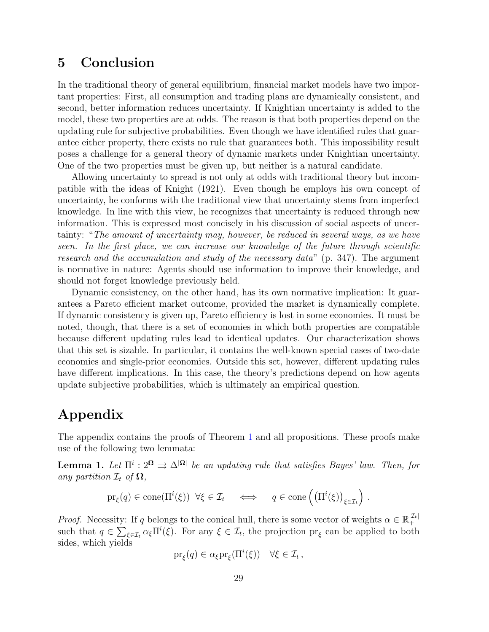# <span id="page-28-0"></span>5 Conclusion

In the traditional theory of general equilibrium, financial market models have two important properties: First, all consumption and trading plans are dynamically consistent, and second, better information reduces uncertainty. If Knightian uncertainty is added to the model, these two properties are at odds. The reason is that both properties depend on the updating rule for subjective probabilities. Even though we have identified rules that guarantee either property, there exists no rule that guarantees both. This impossibility result poses a challenge for a general theory of dynamic markets under Knightian uncertainty. One of the two properties must be given up, but neither is a natural candidate.

Allowing uncertainty to spread is not only at odds with traditional theory but incompatible with the ideas of [Knight](#page-35-0) [\(1921\)](#page-35-0). Even though he employs his own concept of uncertainty, he conforms with the traditional view that uncertainty stems from imperfect knowledge. In line with this view, he recognizes that uncertainty is reduced through new information. This is expressed most concisely in his discussion of social aspects of uncertainty: "The amount of uncertainty may, however, be reduced in several ways, as we have seen. In the first place, we can increase our knowledge of the future through scientific research and the accumulation and study of the necessary data" (p. 347). The argument is normative in nature: Agents should use information to improve their knowledge, and should not forget knowledge previously held.

Dynamic consistency, on the other hand, has its own normative implication: It guarantees a Pareto efficient market outcome, provided the market is dynamically complete. If dynamic consistency is given up, Pareto efficiency is lost in some economies. It must be noted, though, that there is a set of economies in which both properties are compatible because different updating rules lead to identical updates. Our characterization shows that this set is sizable. In particular, it contains the well-known special cases of two-date economies and single-prior economies. Outside this set, however, different updating rules have different implications. In this case, the theory's predictions depend on how agents update subjective probabilities, which is ultimately an empirical question.

# Appendix

The appendix contains the proofs of Theorem [1](#page-19-1) and all propositions. These proofs make use of the following two lemmata:

<span id="page-28-1"></span>**Lemma 1.** Let  $\Pi^i: 2^{\Omega} \Rightarrow \Delta^{|\Omega|}$  be an updating rule that satisfies Bayes' law. Then, for any partition  $\mathcal{I}_t$  of  $\Omega$ ,

$$
\mathrm{pr}_{\xi}(q) \in \mathrm{cone}(\Pi^{i}(\xi)) \ \forall \xi \in \mathcal{I}_{t} \quad \Longleftrightarrow \quad q \in \mathrm{cone}\left(\left(\Pi^{i}(\xi)\right)_{\xi \in \mathcal{I}_{t}}\right) .
$$

*Proof.* Necessity: If q belongs to the conical hull, there is some vector of weights  $\alpha \in \mathbb{R}_+^{|\mathcal{I}_t|}$ + such that  $q \in \sum_{\xi \in \mathcal{I}_t} \alpha_{\xi} \Pi^{i}(\xi)$ . For any  $\xi \in \mathcal{I}_t$ , the projection  $\text{pr}_{\xi}$  can be applied to both sides, which yields

$$
\mathrm{pr}_{\xi}(q) \in \alpha_{\xi} \mathrm{pr}_{\xi}(\Pi^{i}(\xi)) \quad \forall \xi \in \mathcal{I}_{t},
$$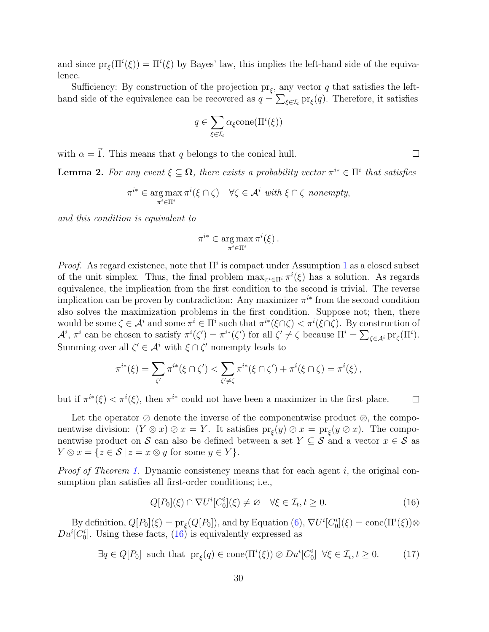and since  $pr_{\xi}(\Pi^{i}(\xi)) = \Pi^{i}(\xi)$  by Bayes' law, this implies the left-hand side of the equivalence.

Sufficiency: By construction of the projection  $pr_{\xi}$ , any vector q that satisfies the lefthand side of the equivalence can be recovered as  $q = \sum_{\xi \in \mathcal{I}_t} \text{pr}_{\xi}(q)$ . Therefore, it satisfies

$$
q \in \sum_{\xi \in \mathcal{I}_t} \alpha_{\xi} \text{cone}(\Pi^i(\xi))
$$

with  $\alpha = \vec{1}$ . This means that q belongs to the conical hull.

<span id="page-29-2"></span>**Lemma 2.** For any event  $\xi \subseteq \Omega$ , there exists a probability vector  $\pi^{i*} \in \Pi^i$  that satisfies

$$
\pi^{i*} \in \underset{\pi^{i} \in \Pi^{i}}{\arg \max} \pi^{i}(\xi \cap \zeta) \quad \forall \zeta \in \mathcal{A}^{i} \text{ with } \xi \cap \zeta \text{ nonempty,}
$$

and this condition is equivalent to

$$
\pi^{i*} \in \operatorname*{arg\,max}_{\pi^i \in \Pi^i} \pi^i(\xi) .
$$

*Proof.* As regard existence, note that  $\Pi^i$  is compact under Assumption [1](#page-4-3) as a closed subset of the unit simplex. Thus, the final problem  $\max_{\pi^i \in \Pi^i} \pi^i(\xi)$  has a solution. As regards equivalence, the implication from the first condition to the second is trivial. The reverse implication can be proven by contradiction: Any maximizer  $\pi^{i*}$  from the second condition also solves the maximization problems in the first condition. Suppose not; then, there would be some  $\zeta \in \mathcal{A}^i$  and some  $\pi^i \in \Pi^i$  such that  $\pi^{i*}(\xi \cap \zeta) < \pi^i(\xi \cap \zeta)$ . By construction of  $\mathcal{A}^i$ ,  $\pi^i$  can be chosen to satisfy  $\pi^i(\zeta') = \pi^{i*}(\zeta')$  for all  $\zeta' \neq \zeta$  because  $\Pi^i = \sum_{\zeta \in \mathcal{A}^i} \text{pr}_{\zeta}(\Pi^i)$ . Summing over all  $\zeta' \in \mathcal{A}^i$  with  $\xi \cap \zeta'$  nonempty leads to

$$
\pi^{i*}(\xi) = \sum_{\zeta'} \pi^{i*}(\xi \cap \zeta') < \sum_{\zeta' \neq \zeta} \pi^{i*}(\xi \cap \zeta') + \pi^i(\xi \cap \zeta) = \pi^i(\xi),
$$

but if  $\pi^{i*}(\xi) < \pi^{i}(\xi)$ , then  $\pi^{i*}$  could not have been a maximizer in the first place.  $\Box$ 

Let the operator  $\oslash$  denote the inverse of the componentwise product  $\oslash$ , the componentwise division:  $(Y \otimes x) \otimes x = Y$ . It satisfies  $pr_{\xi}(y) \otimes x = pr_{\xi}(y \otimes x)$ . The componentwise product on S can also be defined between a set  $Y \subseteq S$  and a vector  $x \in S$  as  $Y \otimes x = \{z \in S \mid z = x \otimes y \text{ for some } y \in Y\}.$ 

Proof of Theorem [1.](#page-19-1) Dynamic consistency means that for each agent i, the original consumption plan satisfies all first-order conditions; i.e.,

<span id="page-29-0"></span>
$$
Q[P_0](\xi) \cap \nabla U^i[C_0^i](\xi) \neq \varnothing \quad \forall \xi \in \mathcal{I}_t, t \geq 0. \tag{16}
$$

By definition,  $Q[P_0](\xi) = \text{pr}_{\xi}(Q[P_0])$ , and by Equation  $(6)$ ,  $\nabla U^i[C_0^i](\xi) = \text{cone}(\Pi^i(\xi)) \otimes$  $Du^{i}[C_{0}^{i}]$ . Using these facts,  $(16)$  is equivalently expressed as

<span id="page-29-1"></span>
$$
\exists q \in Q[P_0] \text{ such that } \text{pr}_{\xi}(q) \in \text{cone}(\Pi^i(\xi)) \otimes Du^i[C_0^i] \quad \forall \xi \in \mathcal{I}_t, t \ge 0. \tag{17}
$$

 $\Box$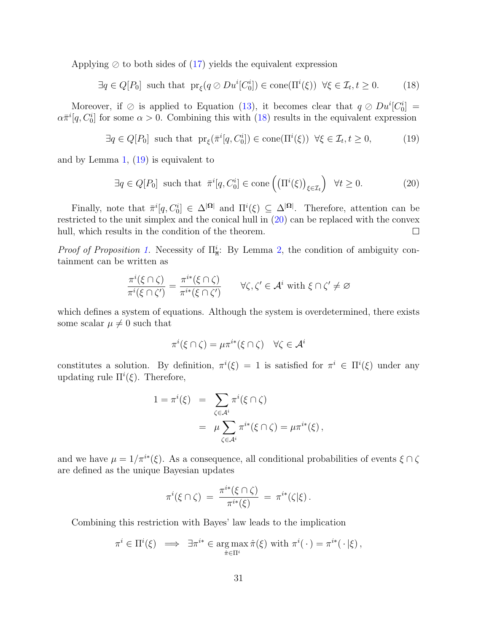Applying  $\oslash$  to both sides of [\(17\)](#page-29-1) yields the equivalent expression

<span id="page-30-0"></span>
$$
\exists q \in Q[P_0] \text{ such that } \text{pr}_{\xi}(q \oslash Du^i[C_0^i]) \in \text{cone}(\Pi^i(\xi)) \ \forall \xi \in \mathcal{I}_t, t \ge 0. \tag{18}
$$

Moreover, if  $\oslash$  is applied to Equation [\(13\)](#page-19-2), it becomes clear that  $q \oslash Du^{i}[C_{0}^{i}] =$  $\alpha \bar{\pi}^i[q, C_0^i]$  for some  $\alpha > 0$ . Combining this with [\(18\)](#page-30-0) results in the equivalent expression

<span id="page-30-1"></span>
$$
\exists q \in Q[P_0] \text{ such that } \text{pr}_{\xi}(\bar{\pi}^i[q, C_0^i]) \in \text{cone}(\Pi^i(\xi)) \ \forall \xi \in \mathcal{I}_t, t \ge 0,
$$
 (19)

and by Lemma [1,](#page-28-1) [\(19\)](#page-30-1) is equivalent to

<span id="page-30-2"></span>
$$
\exists q \in Q[P_0] \text{ such that } \bar{\pi}^i[q, C_0^i] \in \text{cone}\left(\left(\Pi^i(\xi)\right)_{\xi \in \mathcal{I}_t}\right) \ \forall t \ge 0. \tag{20}
$$

Finally, note that  $\bar{\pi}^i[q, C_0^i] \in \Delta^{|\Omega|}$  and  $\Pi^i(\xi) \subseteq \Delta^{|\Omega|}$ . Therefore, attention can be restricted to the unit simplex and the conical hull in [\(20\)](#page-30-2) can be replaced with the convex hull, which results in the condition of the theorem.  $\Box$ 

*Proof of Proposition [1.](#page-25-0)* Necessity of  $\Pi^i_M$ : By Lemma [2,](#page-29-2) the condition of ambiguity containment can be written as

$$
\frac{\pi^i(\xi \cap \zeta)}{\pi^i(\xi \cap \zeta')} = \frac{\pi^{i*}(\xi \cap \zeta)}{\pi^{i*}(\xi \cap \zeta')} \qquad \forall \zeta, \zeta' \in \mathcal{A}^i \text{ with } \xi \cap \zeta' \neq \varnothing
$$

which defines a system of equations. Although the system is overdetermined, there exists some scalar  $\mu \neq 0$  such that

$$
\pi^i(\xi \cap \zeta) = \mu \pi^{i*}(\xi \cap \zeta) \quad \forall \zeta \in \mathcal{A}^i
$$

constitutes a solution. By definition,  $\pi^{i}(\xi) = 1$  is satisfied for  $\pi^{i} \in \Pi^{i}(\xi)$  under any updating rule  $\Pi^{i}(\xi)$ . Therefore,

$$
1 = \pi^{i}(\xi) = \sum_{\zeta \in \mathcal{A}^{i}} \pi^{i}(\xi \cap \zeta)
$$
  
= 
$$
\mu \sum_{\zeta \in \mathcal{A}^{i}} \pi^{i*}(\xi \cap \zeta) = \mu \pi^{i*}(\xi),
$$

and we have  $\mu = 1/\pi^{i*}(\xi)$ . As a consequence, all conditional probabilities of events  $\xi \cap \zeta$ are defined as the unique Bayesian updates

$$
\pi^{i}(\xi \cap \zeta) = \frac{\pi^{i*}(\xi \cap \zeta)}{\pi^{i*}(\xi)} = \pi^{i*}(\zeta|\xi).
$$

Combining this restriction with Bayes' law leads to the implication

$$
\pi^i \in \Pi^i(\xi) \implies \exists \pi^{i*} \in \operatorname*{arg\,max}_{\hat{\pi} \in \Pi^i} \hat{\pi}(\xi) \text{ with } \pi^i(\cdot) = \pi^{i*}(\cdot | \xi),
$$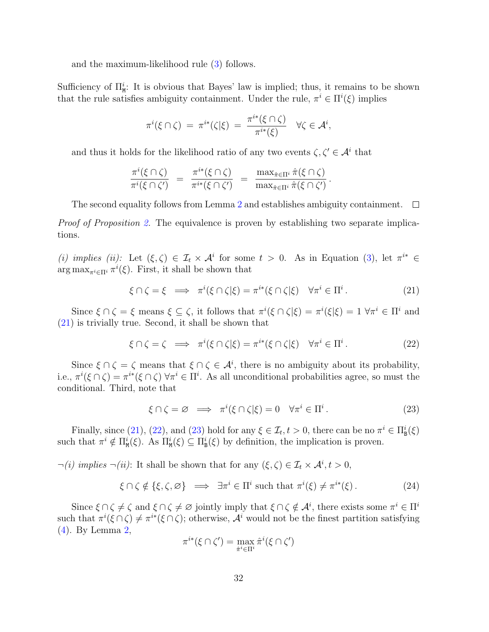and the maximum-likelihood rule [\(3\)](#page-5-2) follows.

Sufficiency of  $\Pi_{\text{M}}^{i}$ . It is obvious that Bayes' law is implied; thus, it remains to be shown that the rule satisfies ambiguity containment. Under the rule,  $\pi^i \in \Pi^i(\xi)$  implies

$$
\pi^i(\xi \cap \zeta) = \pi^{i*}(\zeta|\xi) = \frac{\pi^{i*}(\xi \cap \zeta)}{\pi^{i*}(\xi)} \quad \forall \zeta \in \mathcal{A}^i,
$$

and thus it holds for the likelihood ratio of any two events  $\zeta, \zeta' \in \mathcal{A}^i$  that

$$
\frac{\pi^i(\xi \cap \zeta)}{\pi^i(\xi \cap \zeta')} = \frac{\pi^{i*}(\xi \cap \zeta)}{\pi^{i*}(\xi \cap \zeta')} = \frac{\max_{\hat{\pi} \in \Pi^i} \hat{\pi}(\xi \cap \zeta)}{\max_{\hat{\pi} \in \Pi^i} \hat{\pi}(\xi \cap \zeta')}.
$$

The second equality follows from Lemma [2](#page-29-2) and establishes ambiguity containment.  $\Box$ 

*Proof of Proposition [2.](#page-27-0)* The equivalence is proven by establishing two separate implications.

(i) implies (ii): Let  $(\xi, \zeta) \in \mathcal{I}_t \times \mathcal{A}^i$  for some  $t > 0$ . As in Equation [\(3\)](#page-5-2), let  $\pi^{i*} \in$  $\arg \max_{\pi^i \in \Pi^i} \pi^i(\xi)$ . First, it shall be shown that

<span id="page-31-0"></span>
$$
\xi \cap \zeta = \xi \implies \pi^i(\xi \cap \zeta|\xi) = \pi^{i*}(\xi \cap \zeta|\xi) \quad \forall \pi^i \in \Pi^i. \tag{21}
$$

Since  $\xi \cap \zeta = \xi$  means  $\xi \subseteq \zeta$ , it follows that  $\pi^i(\xi \cap \zeta | \xi) = \pi^i(\xi | \xi) = 1 \ \forall \pi^i \in \Pi^i$  and [\(21\)](#page-31-0) is trivially true. Second, it shall be shown that

<span id="page-31-1"></span>
$$
\xi \cap \zeta = \zeta \implies \pi^i(\xi \cap \zeta | \xi) = \pi^{i*}(\xi \cap \zeta | \xi) \quad \forall \pi^i \in \Pi^i. \tag{22}
$$

Since  $\xi \cap \zeta = \zeta$  means that  $\xi \cap \zeta \in \mathcal{A}^i$ , there is no ambiguity about its probability, i.e.,  $\pi^i(\xi \cap \zeta) = \pi^{i*}(\xi \cap \zeta)$   $\forall \pi^i \in \Pi^i$ . As all unconditional probabilities agree, so must the conditional. Third, note that

<span id="page-31-2"></span>
$$
\xi \cap \zeta = \varnothing \implies \pi^i(\xi \cap \zeta|\xi) = 0 \quad \forall \pi^i \in \Pi^i. \tag{23}
$$

Finally, since [\(21\)](#page-31-0), [\(22\)](#page-31-1), and [\(23\)](#page-31-2) hold for any  $\xi \in \mathcal{I}_t, t > 0$ , there can be no  $\pi^i \in \Pi^i_{\mathbf{B}}(\xi)$ such that  $\pi^i \notin \Pi^i_{\mathbf{M}}(\xi)$ . As  $\Pi^i_{\mathbf{M}}(\xi) \subseteq \Pi^i_{\mathbf{B}}(\xi)$  by definition, the implication is proven.

 $\neg(i)$  implies  $\neg(ii)$ : It shall be shown that for any  $(\xi, \zeta) \in \mathcal{I}_t \times \mathcal{A}^i, t > 0$ ,

<span id="page-31-3"></span>
$$
\xi \cap \zeta \notin \{\xi, \zeta, \varnothing\} \implies \exists \pi^i \in \Pi^i \text{ such that } \pi^i(\xi) \neq \pi^{i*}(\xi). \tag{24}
$$

Since  $\xi \cap \zeta \neq \zeta$  and  $\xi \cap \zeta \neq \emptyset$  jointly imply that  $\xi \cap \zeta \notin \mathcal{A}^i$ , there exists some  $\pi^i \in \Pi^i$ such that  $\pi^i(\xi \cap \zeta) \neq \pi^{i*}(\xi \cap \zeta)$ ; otherwise,  $\mathcal{A}^i$  would not be the finest partition satisfying [\(4\)](#page-5-3). By Lemma [2,](#page-29-2)

$$
\pi^{i*}(\xi \cap \zeta') = \max_{\hat{\pi}^i \in \Pi^i} \hat{\pi}^i(\xi \cap \zeta')
$$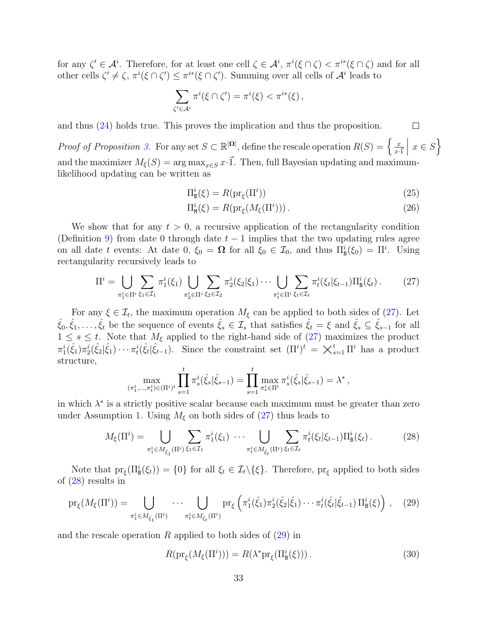for any  $\zeta' \in \mathcal{A}^i$ . Therefore, for at least one cell  $\zeta \in \mathcal{A}^i$ ,  $\pi^i(\xi \cap \zeta) < \pi^{i*}(\xi \cap \zeta)$  and for all other cells  $\zeta' \neq \zeta$ ,  $\pi^{i}(\xi \cap \zeta') \leq \pi^{i*}(\xi \cap \zeta')$ . Summing over all cells of  $\mathcal{A}^{i}$  leads to

$$
\sum_{\zeta' \in A^i} \pi^i(\xi \cap \zeta') = \pi^i(\xi) < \pi^{i*}(\xi) \,,
$$

and thus [\(24\)](#page-31-3) holds true. This proves the implication and thus the proposition.

*Proof of Proposition [3.](#page-27-2)* For any set  $S \subset \mathbb{R}^{|\Omega|}$ , define the rescale operation  $R(S) = \begin{cases} \frac{x}{n} & \text{if } n \geq 0 \end{cases}$  $\overline{x}\cdot\overline{1}$  $x \in S$  $\vert$ and the maximizer  $M_{\xi}(S) = \arg \max_{x \in S} x \cdot \vec{1}$ . Then, full Bayesian updating and maximumlikelihood updating can be written as

$$
\Pi_{\mathbf{B}}^{i}(\xi) = R(\mathrm{pr}_{\xi}(\Pi^{i}))\tag{25}
$$

<span id="page-32-4"></span><span id="page-32-3"></span> $\Box$ 

$$
\Pi_{\mathbf{M}}^{i}(\xi) = R(\mathrm{pr}_{\xi}(M_{\xi}(\Pi^{i}))). \tag{26}
$$

We show that for any  $t > 0$ , a recursive application of the rectangularity condition (Definition [9\)](#page-27-1) from date 0 through date  $t-1$  implies that the two updating rules agree on all date t events: At date 0,  $\xi_0 = \Omega$  for all  $\xi_0 \in \mathcal{I}_0$ , and thus  $\Pi^i_{\mathcal{B}}(\xi_0) = \Pi^i$ . Using rectangularity recursively leads to

<span id="page-32-0"></span>
$$
\Pi^{i} = \bigcup_{\pi_{1}^{i} \in \Pi^{i}} \sum_{\xi_{1} \in \mathcal{I}_{1}} \pi_{1}^{i}(\xi_{1}) \bigcup_{\pi_{2}^{i} \in \Pi^{i}} \sum_{\xi_{2} \in \mathcal{I}_{2}} \pi_{2}^{i}(\xi_{2}|\xi_{1}) \cdots \bigcup_{\pi_{t}^{i} \in \Pi^{i}} \sum_{\xi_{t} \in \mathcal{I}_{t}} \pi_{t}^{i}(\xi_{t}|\xi_{t-1}) \Pi_{B}^{i}(\xi_{t}).
$$
 (27)

For any  $\xi \in \mathcal{I}_t$ , the maximum operation  $M_{\xi}$  can be applied to both sides of [\(27\)](#page-32-0). Let  $\hat{\xi}_0, \hat{\xi}_1, \ldots, \hat{\xi}_t$  be the sequence of events  $\hat{\xi}_s \in \mathcal{I}_s$  that satisfies  $\hat{\xi}_t = \xi$  and  $\hat{\xi}_s \subseteq \hat{\xi}_{s-1}$  for all  $1 \leq s \leq t$ . Note that  $M_{\xi}$  applied to the right-hand side of [\(27\)](#page-32-0) maximizes the product  $\pi_1^i(\hat{\xi}_1)\pi_2^i(\hat{\xi}_2|\hat{\xi}_1)\cdots\pi_t^i(\hat{\xi}_t|\hat{\xi}_{t-1})$ . Since the constraint set  $(\Pi^i)^t = \chi_{s=1}^t \Pi^i$  has a product structure,

$$
\max_{(\pi_1^i, \ldots, \pi_t^i) \in (\Pi^i)^t} \prod_{s=1}^t \pi_s^i(\hat{\xi}_s | \hat{\xi}_{s-1}) = \prod_{s=1}^t \max_{\pi_s^i \in \Pi^i} \pi_s^i(\hat{\xi}_s | \hat{\xi}_{s-1}) = \lambda^*,
$$

in which  $\lambda^*$  is a strictly positive scalar because each maximum must be greater than zero under Assumption [1.](#page-4-3) Using  $M_{\xi}$  on both sides of [\(27\)](#page-32-0) thus leads to

<span id="page-32-1"></span>
$$
M_{\xi}(\Pi^{i}) = \bigcup_{\pi_{1}^{i} \in M_{\hat{\xi}_{1}}(\Pi^{i})} \sum_{\xi_{1} \in \mathcal{I}_{1}} \pi_{1}^{i}(\xi_{1}) \cdots \bigcup_{\pi_{t}^{i} \in M_{\hat{\xi}_{t}}(\Pi^{i})} \sum_{\xi_{t} \in \mathcal{I}_{t}} \pi_{t}^{i}(\xi_{t}|\xi_{t-1}) \Pi_{\mathbf{B}}^{i}(\xi_{t}).
$$
 (28)

Note that  $pr_{\xi}(\Pi_{\mathbf{B}}^{i}(\xi_{t})) = \{0\}$  for all  $\xi_{t} \in \mathcal{I}_{t} \setminus \{\xi\}$ . Therefore,  $pr_{\xi}$  applied to both sides of [\(28\)](#page-32-1) results in

<span id="page-32-2"></span>
$$
\text{pr}_{\xi}(M_{\xi}(\Pi^{i})) = \bigcup_{\pi_{1}^{i} \in M_{\hat{\xi}_{1}}(\Pi^{i})} \cdots \bigcup_{\pi_{t}^{i} \in M_{\hat{\xi}_{t}}(\Pi^{i})} \text{pr}_{\xi}\left(\pi_{1}^{i}(\hat{\xi}_{1})\pi_{2}^{i}(\hat{\xi}_{2}|\hat{\xi}_{1})\cdots\pi_{t}^{i}(\hat{\xi}_{t}|\hat{\xi}_{t-1})\Pi_{\mathbf{B}}^{i}(\xi)\right), \quad (29)
$$

and the rescale operation  $R$  applied to both sides of  $(29)$  in

<span id="page-32-5"></span>
$$
R(\mathrm{pr}_{\xi}(M_{\xi}(\Pi^i))) = R(\lambda^* \mathrm{pr}_{\xi}(\Pi^i_{\mathsf{B}}(\xi))). \tag{30}
$$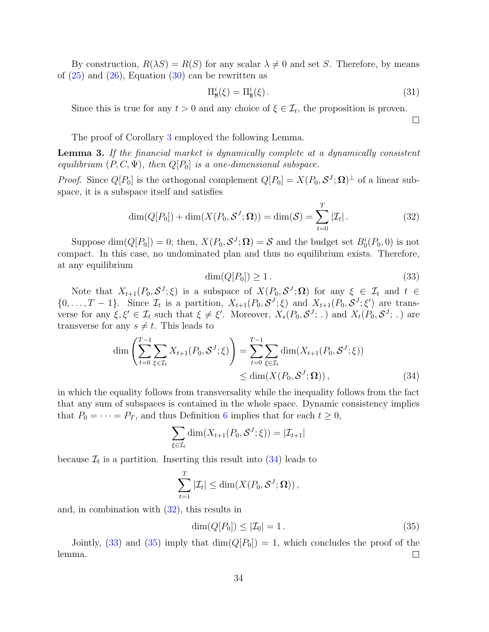By construction,  $R(\lambda S) = R(S)$  for any scalar  $\lambda \neq 0$  and set S. Therefore, by means of  $(25)$  and  $(26)$ , Equation  $(30)$  can be rewritten as

$$
\Pi_{\mathbf{M}}^{i}(\xi) = \Pi_{\mathbf{B}}^{i}(\xi). \tag{31}
$$

 $\Box$ 

Since this is true for any  $t > 0$  and any choice of  $\xi \in \mathcal{I}_t$ , the proposition is proven.

The proof of Corollary [3](#page-21-2) employed the following Lemma.

<span id="page-33-0"></span>Lemma 3. If the financial market is dynamically complete at a dynamically consistent equilibrium  $(P, C, \Psi)$ , then  $Q[P_0]$  is a one-dimensional subspace.

*Proof.* Since  $Q[P_0]$  is the orthogonal complement  $Q[P_0] = X(P_0, \mathcal{S}^J; \Omega)^{\perp}$  of a linear subspace, it is a subspace itself and satisfies

<span id="page-33-2"></span>
$$
\dim(Q[P_0]) + \dim(X(P_0, \mathcal{S}^J; \Omega)) = \dim(\mathcal{S}) = \sum_{t=0}^T |\mathcal{I}_t|.
$$
 (32)

Suppose  $\dim(Q[P_0]) = 0$ ; then,  $X(P_0, \mathcal{S}^J; \Omega) = \mathcal{S}$  and the budget set  $B_0^i(P_0, 0)$  is not compact. In this case, no undominated plan and thus no equilibrium exists. Therefore, at any equilibrium

<span id="page-33-3"></span><span id="page-33-1"></span>
$$
\dim(Q[P_0]) \ge 1. \tag{33}
$$

Note that  $X_{t+1}(P_0, S^J; \xi)$  is a subspace of  $X(P_0, S^J; \Omega)$  for any  $\xi \in \mathcal{I}_t$  and  $t \in$  $\{0,\ldots,T-1\}$ . Since  $\mathcal{I}_t$  is a partition,  $X_{t+1}(P_0,\mathcal{S}^J;\xi)$  and  $X_{t+1}(P_0,\mathcal{S}^J;\xi')$  are transverse for any  $\xi, \xi' \in \mathcal{I}_t$  such that  $\xi \neq \xi'$ . Moreover,  $X_s(P_0, \mathcal{S}^J; .)$  and  $X_t(P_0, \mathcal{S}^J; .)$  are transverse for any  $s \neq t$ . This leads to

$$
\dim \left( \sum_{t=0}^{T-1} \sum_{\xi \in \mathcal{I}_t} X_{t+1}(P_0, \mathcal{S}^J; \xi) \right) = \sum_{t=0}^{T-1} \sum_{\xi \in \mathcal{I}_t} \dim(X_{t+1}(P_0, \mathcal{S}^J; \xi)) \n\leq \dim(X(P_0, \mathcal{S}^J; \Omega)),
$$
\n(34)

in which the equality follows from transversality while the inequality follows from the fact that any sum of subspaces is contained in the whole space. Dynamic consistency implies that  $P_0 = \cdots = P_T$ , and thus Definition [6](#page-10-4) implies that for each  $t \geq 0$ ,

$$
\sum_{\xi \in \mathcal{I}_t} \dim(X_{t+1}(P_0, \mathcal{S}^J; \xi)) = |\mathcal{I}_{t+1}|
$$

because  $\mathcal{I}_t$  is a partition. Inserting this result into  $(34)$  leads to

$$
\sum_{t=1}^T |\mathcal{I}_t| \le \dim(X(P_0, \mathcal{S}^J; \mathbf{\Omega})),
$$

and, in combination with [\(32\)](#page-33-2), this results in

<span id="page-33-4"></span>
$$
\dim(Q[P_0]) \leq |\mathcal{I}_0| = 1. \tag{35}
$$

Jointly, [\(33\)](#page-33-3) and [\(35\)](#page-33-4) imply that  $\dim(Q[P_0]) = 1$ , which concludes the proof of the lemma.  $\Box$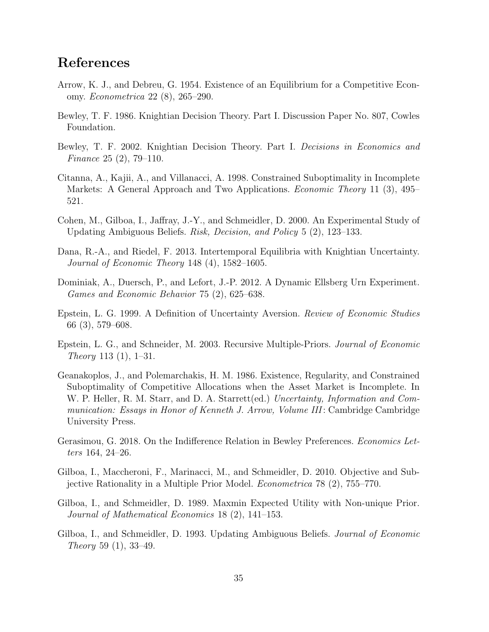# References

- <span id="page-34-2"></span>Arrow, K. J., and Debreu, G. 1954. Existence of an Equilibrium for a Competitive Economy. Econometrica 22 (8), 265–290.
- <span id="page-34-0"></span>Bewley, T. F. 1986. Knightian Decision Theory. Part I. Discussion Paper No. 807, Cowles Foundation.
- <span id="page-34-1"></span>Bewley, T. F. 2002. Knightian Decision Theory. Part I. Decisions in Economics and Finance 25 (2), 79–110.
- <span id="page-34-11"></span>Citanna, A., Kajii, A., and Villanacci, A. 1998. Constrained Suboptimality in Incomplete Markets: A General Approach and Two Applications. Economic Theory 11 (3), 495– 521.
- <span id="page-34-12"></span>Cohen, M., Gilboa, I., Jaffray, J.-Y., and Schmeidler, D. 2000. An Experimental Study of Updating Ambiguous Beliefs. Risk, Decision, and Policy 5 (2), 123–133.
- <span id="page-34-3"></span>Dana, R.-A., and Riedel, F. 2013. Intertemporal Equilibria with Knightian Uncertainty. Journal of Economic Theory 148 (4), 1582–1605.
- <span id="page-34-13"></span>Dominiak, A., Duersch, P., and Lefort, J.-P. 2012. A Dynamic Ellsberg Urn Experiment. Games and Economic Behavior 75 (2), 625–638.
- <span id="page-34-8"></span>Epstein, L. G. 1999. A Definition of Uncertainty Aversion. Review of Economic Studies 66 (3), 579–608.
- <span id="page-34-5"></span>Epstein, L. G., and Schneider, M. 2003. Recursive Multiple-Priors. Journal of Economic Theory 113 (1), 1–31.
- <span id="page-34-10"></span>Geanakoplos, J., and Polemarchakis, H. M. 1986. Existence, Regularity, and Constrained Suboptimality of Competitive Allocations when the Asset Market is Incomplete. In W. P. Heller, R. M. Starr, and D. A. Starrett(ed.) Uncertainty, Information and Communication: Essays in Honor of Kenneth J. Arrow, Volume III: Cambridge Cambridge University Press.
- <span id="page-34-9"></span>Gerasimou, G. 2018. On the Indifference Relation in Bewley Preferences. Economics Letters 164, 24–26.
- <span id="page-34-7"></span>Gilboa, I., Maccheroni, F., Marinacci, M., and Schmeidler, D. 2010. Objective and Subjective Rationality in a Multiple Prior Model. Econometrica 78 (2), 755–770.
- <span id="page-34-6"></span>Gilboa, I., and Schmeidler, D. 1989. Maxmin Expected Utility with Non-unique Prior. Journal of Mathematical Economics 18 (2), 141–153.
- <span id="page-34-4"></span>Gilboa, I., and Schmeidler, D. 1993. Updating Ambiguous Beliefs. Journal of Economic Theory 59 (1), 33–49.